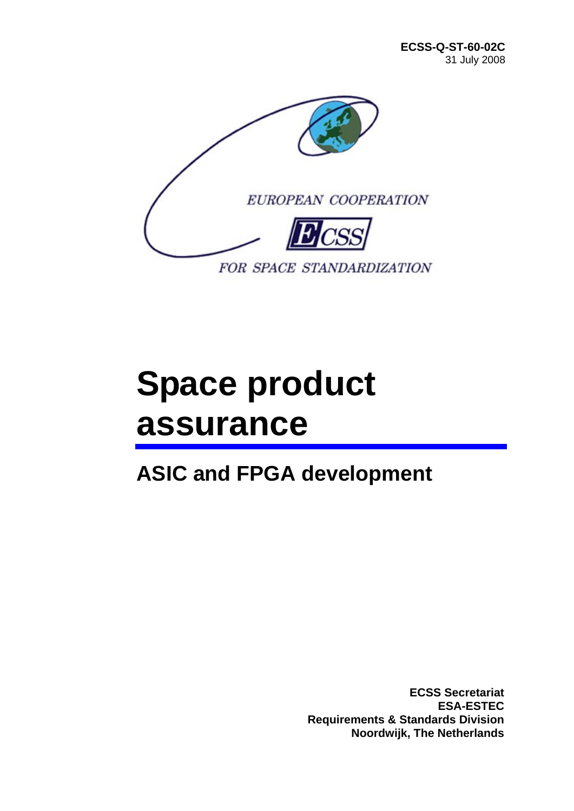

# **Space product assurance**

## **ASIC and FPGA development**

**ECSS Secretariat ESA-ESTEC Requirements & Standards Division Noordwijk, The Netherlands**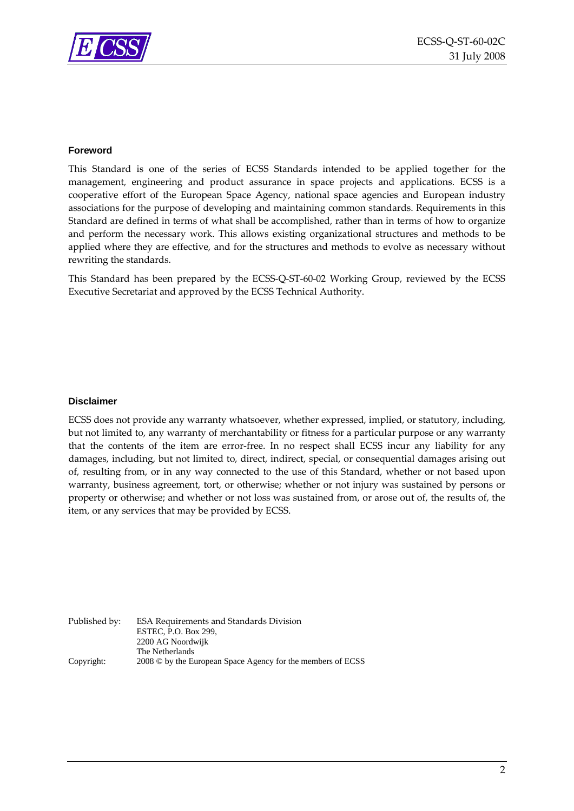

#### **Foreword**

This Standard is one of the series of ECSS Standards intended to be applied together for the management, engineering and product assurance in space projects and applications. ECSS is a cooperative effort of the European Space Agency, national space agencies and European industry associations for the purpose of developing and maintaining common standards. Requirements in this Standard are defined in terms of what shall be accomplished, rather than in terms of how to organize and perform the necessary work. This allows existing organizational structures and methods to be applied where they are effective, and for the structures and methods to evolve as necessary without rewriting the standards.

This Standard has been prepared by the ECSS‐Q‐ST‐60‐02 Working Group, reviewed by the ECSS Executive Secretariat and approved by the ECSS Technical Authority.

#### **Disclaimer**

ECSS does not provide any warranty whatsoever, whether expressed, implied, or statutory, including, but not limited to, any warranty of merchantability or fitness for a particular purpose or any warranty that the contents of the item are error‐free. In no respect shall ECSS incur any liability for any damages, including, but not limited to, direct, indirect, special, or consequential damages arising out of, resulting from, or in any way connected to the use of this Standard, whether or not based upon warranty, business agreement, tort, or otherwise; whether or not injury was sustained by persons or property or otherwise; and whether or not loss was sustained from, or arose out of, the results of, the item, or any services that may be provided by ECSS.

Published by: ESA Requirements and Standards Division ESTEC, P.O. Box 299, 2200 AG Noordwijk The Netherlands Copyright: 2008 © by the European Space Agency for the members of ECSS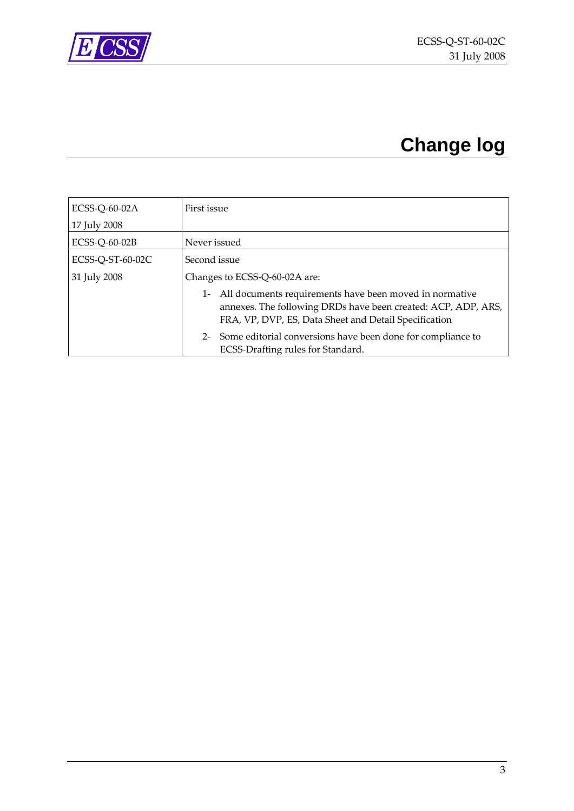<span id="page-2-0"></span>

## **Change log**

| ECSS-Q-60-02A    | First issue                                                                                                                                                                                |  |
|------------------|--------------------------------------------------------------------------------------------------------------------------------------------------------------------------------------------|--|
| 17 July 2008     |                                                                                                                                                                                            |  |
| ECSS-Q-60-02B    | Never issued                                                                                                                                                                               |  |
| ECSS-Q-ST-60-02C | Second issue                                                                                                                                                                               |  |
| 31 July 2008     | Changes to ECSS-Q-60-02A are:                                                                                                                                                              |  |
|                  | All documents requirements have been moved in normative<br>$1 -$<br>annexes. The following DRDs have been created: ACP, ADP, ARS,<br>FRA, VP, DVP, ES, Data Sheet and Detail Specification |  |
|                  | 2- Some editorial conversions have been done for compliance to<br>ECSS-Drafting rules for Standard.                                                                                        |  |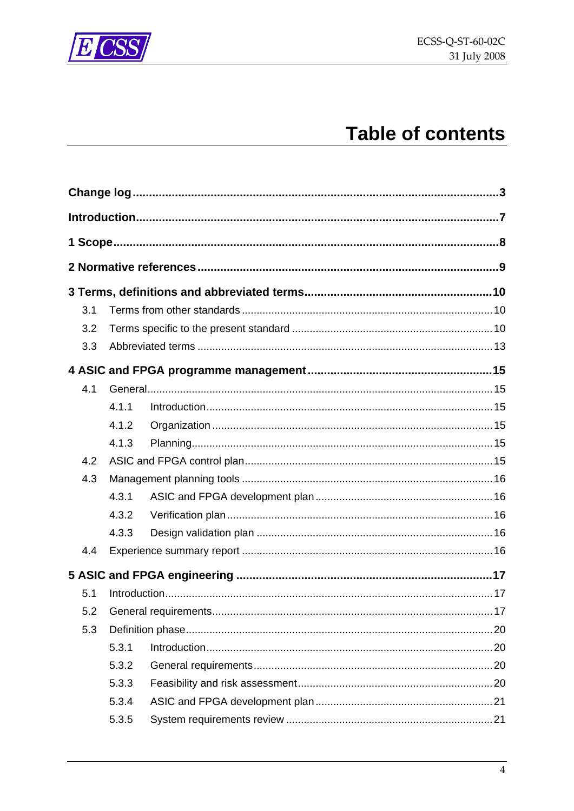

## **Table of contents**

| 3.1 |       |  |  |
|-----|-------|--|--|
| 3.2 |       |  |  |
| 3.3 |       |  |  |
|     |       |  |  |
| 4.1 |       |  |  |
|     | 4.1.1 |  |  |
|     | 4.1.2 |  |  |
|     | 4.1.3 |  |  |
| 4.2 |       |  |  |
| 4.3 |       |  |  |
|     | 4.3.1 |  |  |
|     | 4.3.2 |  |  |
|     | 4.3.3 |  |  |
| 4.4 |       |  |  |
|     |       |  |  |
| 5.1 |       |  |  |
| 5.2 |       |  |  |
| 5.3 |       |  |  |
|     | 5.3.1 |  |  |
|     | 5.3.2 |  |  |
|     | 5.3.3 |  |  |
|     | 5.3.4 |  |  |
|     | 5.3.5 |  |  |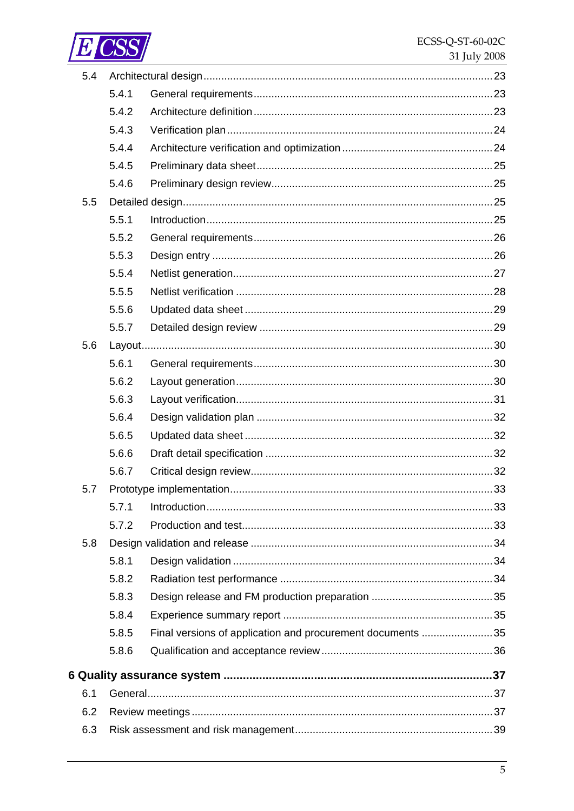

| 5.4 |       |                                                            |  |
|-----|-------|------------------------------------------------------------|--|
|     | 5.4.1 |                                                            |  |
|     | 5.4.2 |                                                            |  |
|     | 5.4.3 |                                                            |  |
|     | 5.4.4 |                                                            |  |
|     | 5.4.5 |                                                            |  |
|     | 5.4.6 |                                                            |  |
| 5.5 |       |                                                            |  |
|     | 5.5.1 |                                                            |  |
|     | 5.5.2 |                                                            |  |
|     | 5.5.3 |                                                            |  |
|     | 5.5.4 |                                                            |  |
|     | 5.5.5 |                                                            |  |
|     | 5.5.6 |                                                            |  |
|     | 5.5.7 |                                                            |  |
| 5.6 |       |                                                            |  |
|     | 5.6.1 |                                                            |  |
|     | 5.6.2 |                                                            |  |
|     | 5.6.3 |                                                            |  |
|     | 5.6.4 |                                                            |  |
|     | 5.6.5 |                                                            |  |
|     | 5.6.6 |                                                            |  |
|     | 5.6.7 |                                                            |  |
| 5.7 |       |                                                            |  |
|     | 5.7.1 |                                                            |  |
|     | 5.7.2 |                                                            |  |
| 5.8 |       |                                                            |  |
|     | 5.8.1 |                                                            |  |
|     | 5.8.2 |                                                            |  |
|     | 5.8.3 |                                                            |  |
|     | 5.8.4 |                                                            |  |
|     | 5.8.5 | Final versions of application and procurement documents 35 |  |
|     | 5.8.6 |                                                            |  |
|     |       |                                                            |  |
| 6.1 |       |                                                            |  |
| 6.2 |       |                                                            |  |
|     |       |                                                            |  |
| 6.3 |       |                                                            |  |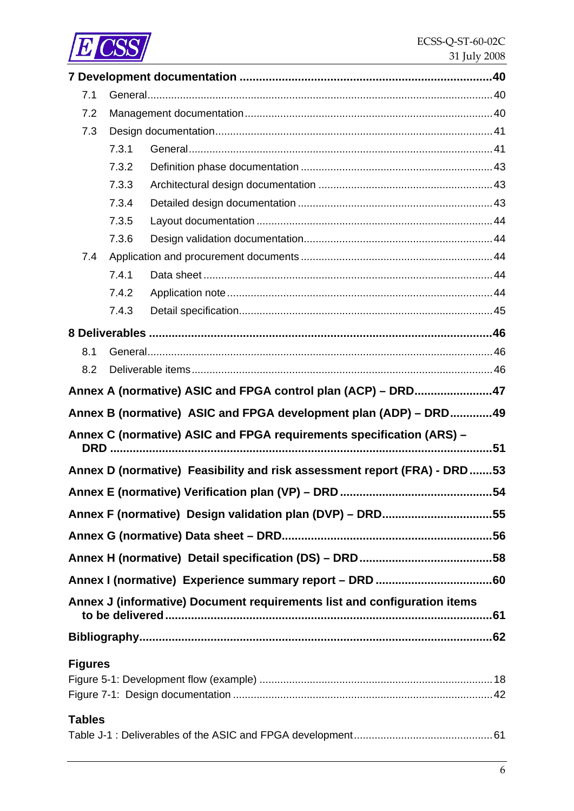

| 7.1            |       |                                                                           |     |
|----------------|-------|---------------------------------------------------------------------------|-----|
| 7.2            |       |                                                                           |     |
| 7.3            |       |                                                                           |     |
|                | 7.3.1 |                                                                           |     |
|                | 7.3.2 |                                                                           |     |
|                | 7.3.3 |                                                                           |     |
|                | 7.3.4 |                                                                           |     |
|                | 7.3.5 |                                                                           |     |
|                | 7.3.6 |                                                                           |     |
| 7.4            |       |                                                                           |     |
|                | 7.4.1 |                                                                           |     |
|                | 7.4.2 |                                                                           |     |
|                | 7.4.3 |                                                                           |     |
|                |       |                                                                           |     |
| 8.1            |       |                                                                           |     |
| 8.2            |       |                                                                           |     |
|                |       | Annex A (normative) ASIC and FPGA control plan (ACP) - DRD47              |     |
|                |       | Annex B (normative) ASIC and FPGA development plan (ADP) - DRD49          |     |
|                |       | Annex C (normative) ASIC and FPGA requirements specification (ARS) -      |     |
|                |       |                                                                           |     |
|                |       | Annex D (normative) Feasibility and risk assessment report (FRA) - DRD 53 |     |
|                |       |                                                                           | .54 |
|                |       | Annex F (normative) Design validation plan (DVP) - DRD55                  |     |
|                |       |                                                                           |     |
|                |       |                                                                           |     |
|                |       |                                                                           |     |
|                |       | Annex J (informative) Document requirements list and configuration items  |     |
|                |       |                                                                           |     |
| <b>Figures</b> |       |                                                                           |     |
|                |       |                                                                           |     |
|                |       |                                                                           |     |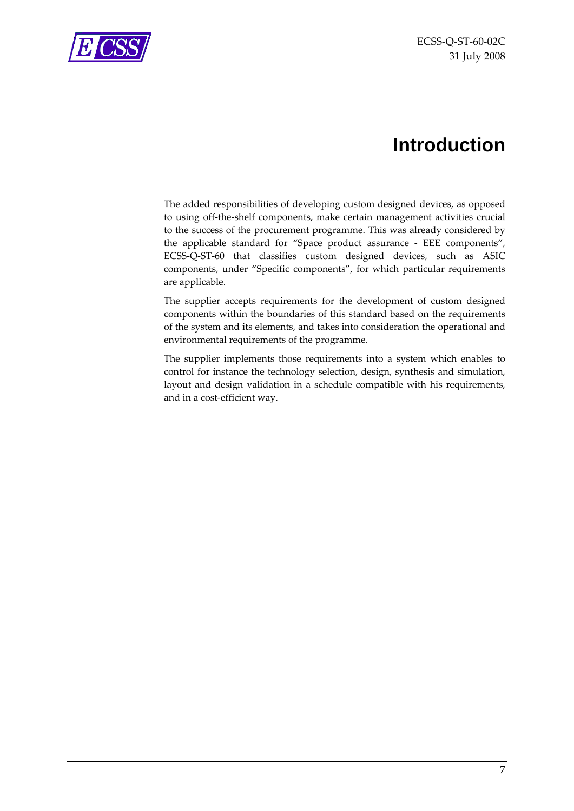

<span id="page-6-0"></span>

## **Introduction**

The added responsibilities of developing custom designed devices, as opposed to using off‐the‐shelf components, make certain management activities crucial to the success of the procurement programme. This was already considered by the applicable standard for "Space product assurance - EEE components", ECSS‐Q‐ST‐60 that classifies custom designed devices, such as ASIC components, under "Specific components", for which particular requirements are applicable.

The supplier accepts requirements for the development of custom designed components within the boundaries of this standard based on the requirements of the system and its elements, and takes into consideration the operational and environmental requirements of the programme.

The supplier implements those requirements into a system which enables to control for instance the technology selection, design, synthesis and simulation, layout and design validation in a schedule compatible with his requirements, and in a cost‐efficient way.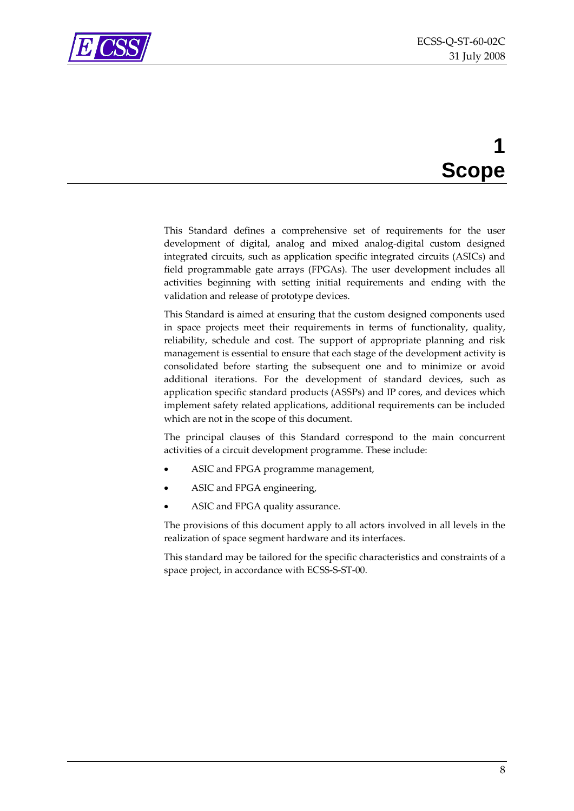<span id="page-7-0"></span>

## **1 Scope**

This Standard defines a comprehensive set of requirements for the user development of digital, analog and mixed analog‐digital custom designed integrated circuits, such as application specific integrated circuits (ASICs) and field programmable gate arrays (FPGAs). The user development includes all activities beginning with setting initial requirements and ending with the validation and release of prototype devices.

This Standard is aimed at ensuring that the custom designed components used in space projects meet their requirements in terms of functionality, quality, reliability, schedule and cost. The support of appropriate planning and risk management is essential to ensure that each stage of the development activity is consolidated before starting the subsequent one and to minimize or avoid additional iterations. For the development of standard devices, such as application specific standard products (ASSPs) and IP cores, and devices which implement safety related applications, additional requirements can be included which are not in the scope of this document.

The principal clauses of this Standard correspond to the main concurrent activities of a circuit development programme. These include:

- ASIC and FPGA programme management,
- ASIC and FPGA engineering,
- ASIC and FPGA quality assurance.

The provisions of this document apply to all actors involved in all levels in the realization of space segment hardware and its interfaces.

This standard may be tailored for the specific characteristics and constraints of a space project, in accordance with ECSS‐S‐ST‐00.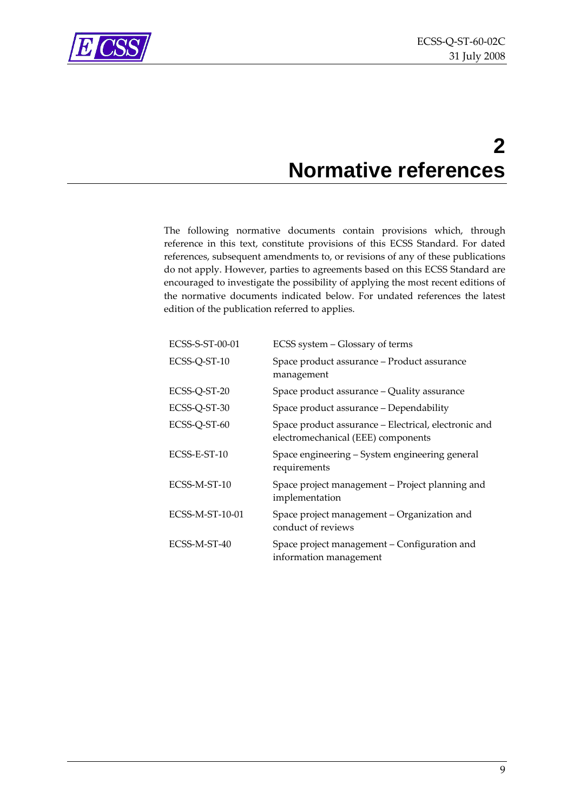

<span id="page-8-0"></span>

## **2 Normative references**

The following normative documents contain provisions which, through reference in this text, constitute provisions of this ECSS Standard. For dated references, subsequent amendments to, or revisions of any of these publications do not apply. However, parties to agreements based on this ECSS Standard are encouraged to investigate the possibility of applying the most recent editions of the normative documents indicated below. For undated references the latest edition of the publication referred to applies.

| ECSS-S-ST-00-01 | ECSS system - Glossary of terms                                                            |
|-----------------|--------------------------------------------------------------------------------------------|
| ECSS-Q-ST-10    | Space product assurance - Product assurance<br>management                                  |
| ECSS-Q-ST-20    | Space product assurance - Quality assurance                                                |
| ECSS-Q-ST-30    | Space product assurance - Dependability                                                    |
| ECSS-Q-ST-60    | Space product assurance – Electrical, electronic and<br>electromechanical (EEE) components |
| ECSS-E-ST-10    | Space engineering – System engineering general<br>requirements                             |
| ECSS-M-ST-10    | Space project management - Project planning and<br>implementation                          |
| ECSS-M-ST-10-01 | Space project management – Organization and<br>conduct of reviews                          |
| ECSS-M-ST-40    | Space project management – Configuration and<br>information management                     |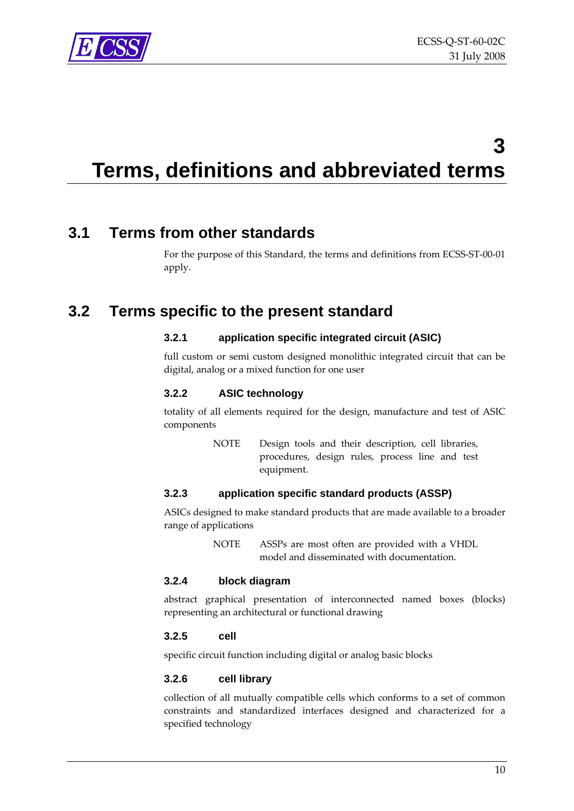<span id="page-9-0"></span>

## **3 Terms, definitions and abbreviated terms**

### **3.1 Terms from other standards**

For the purpose of this Standard, the terms and definitions from ECSS‐ST‐00‐01 apply.

### **3.2 Terms specific to the present standard**

#### **3.2.1 application specific integrated circuit (ASIC)**

full custom or semi custom designed monolithic integrated circuit that can be digital, analog or a mixed function for one user

#### **3.2.2 ASIC technology**

totality of all elements required for the design, manufacture and test of ASIC components

> NOTE Design tools and their description, cell libraries, procedures, design rules, process line and test equipment.

#### **3.2.3 application specific standard products (ASSP)**

ASICs designed to make standard products that are made available to a broader range of applications

> NOTE ASSPs are most often are provided with a VHDL model and disseminated with documentation.

#### **3.2.4 block diagram**

abstract graphical presentation of interconnected named boxes (blocks) representing an architectural or functional drawing

#### **3.2.5 cell**

specific circuit function including digital or analog basic blocks

#### **3.2.6 cell library**

collection of all mutually compatible cells which conforms to a set of common constraints and standardized interfaces designed and characterized for a specified technology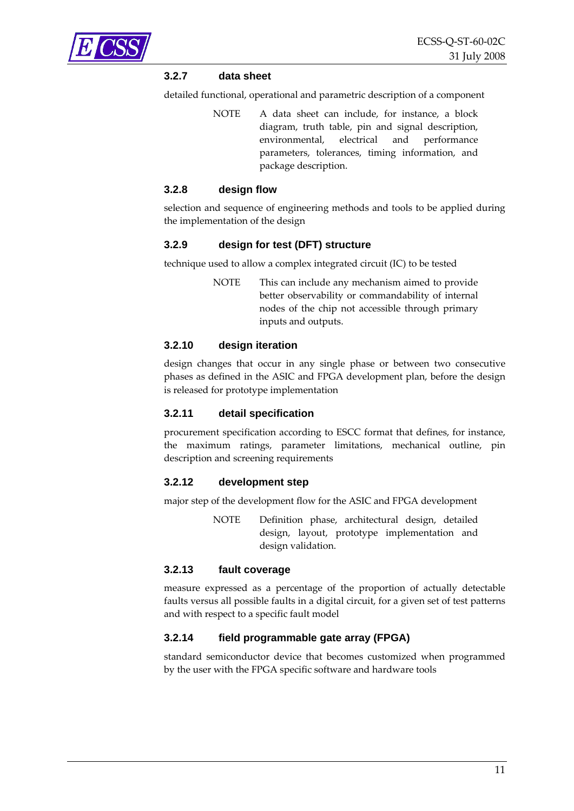

#### **3.2.7 data sheet**

detailed functional, operational and parametric description of a component

NOTE A data sheet can include, for instance, a block diagram, truth table, pin and signal description, environmental, electrical and performance parameters, tolerances, timing information, and package description.

#### **3.2.8 design flow**

selection and sequence of engineering methods and tools to be applied during the implementation of the design

#### **3.2.9 design for test (DFT) structure**

technique used to allow a complex integrated circuit (IC) to be tested

NOTE This can include any mechanism aimed to provide better observability or commandability of internal nodes of the chip not accessible through primary inputs and outputs.

#### **3.2.10 design iteration**

design changes that occur in any single phase or between two consecutive phases as defined in the ASIC and FPGA development plan, before the design is released for prototype implementation

#### **3.2.11 detail specification**

procurement specification according to ESCC format that defines, for instance, the maximum ratings, parameter limitations, mechanical outline, pin description and screening requirements

#### **3.2.12 development step**

major step of the development flow for the ASIC and FPGA development

NOTE Definition phase, architectural design, detailed design, layout, prototype implementation and design validation.

#### **3.2.13 fault coverage**

measure expressed as a percentage of the proportion of actually detectable faults versus all possible faults in a digital circuit, for a given set of test patterns and with respect to a specific fault model

#### **3.2.14 field programmable gate array (FPGA)**

standard semiconductor device that becomes customized when programmed by the user with the FPGA specific software and hardware tools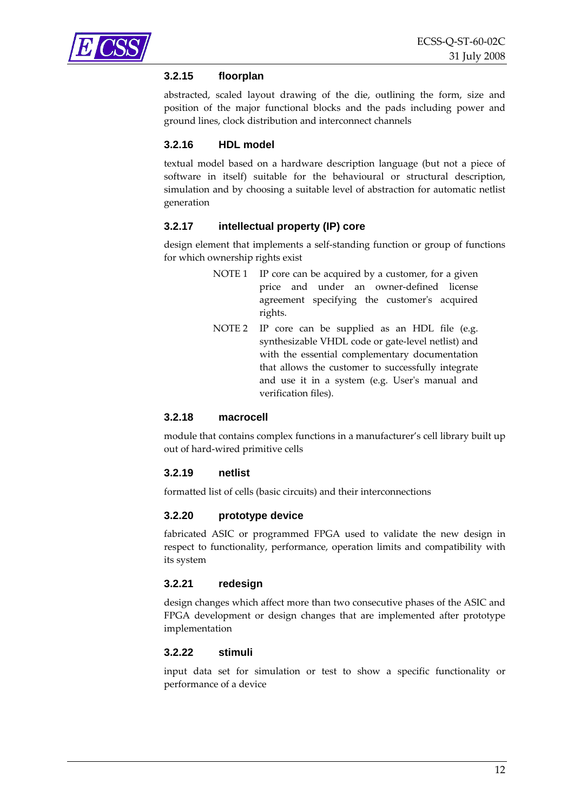#### **3.2.15 floorplan**

abstracted, scaled layout drawing of the die, outlining the form, size and position of the major functional blocks and the pads including power and ground lines, clock distribution and interconnect channels

#### **3.2.16 HDL model**

textual model based on a hardware description language (but not a piece of software in itself) suitable for the behavioural or structural description, simulation and by choosing a suitable level of abstraction for automatic netlist generation

#### **3.2.17 intellectual property (IP) core**

design element that implements a self‐standing function or group of functions for which ownership rights exist

- NOTE 1 IP core can be acquired by a customer, for a given price and under an owner‐defined license agreement specifying the customer's acquired rights.
- NOTE 2 IP core can be supplied as an HDL file (e.g. synthesizable VHDL code or gate‐level netlist) and with the essential complementary documentation that allows the customer to successfully integrate and use it in a system (e.g. Userʹs manual and verification files).

#### **3.2.18 macrocell**

module that contains complex functions in a manufacturer's cell library built up out of hard‐wired primitive cells

#### **3.2.19 netlist**

formatted list of cells (basic circuits) and their interconnections

#### **3.2.20 prototype device**

fabricated ASIC or programmed FPGA used to validate the new design in respect to functionality, performance, operation limits and compatibility with its system

#### **3.2.21 redesign**

design changes which affect more than two consecutive phases of the ASIC and FPGA development or design changes that are implemented after prototype implementation

#### **3.2.22 stimuli**

input data set for simulation or test to show a specific functionality or performance of a device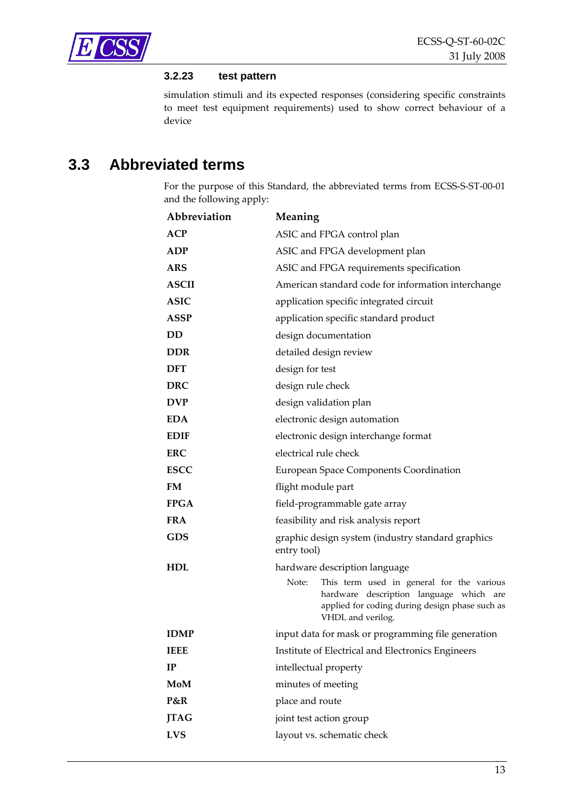<span id="page-12-0"></span>

#### **3.2.23 test pattern**

simulation stimuli and its expected responses (considering specific constraints to meet test equipment requirements) used to show correct behaviour of a device

### **3.3 Abbreviated terms**

For the purpose of this Standard, the abbreviated terms from ECSS-S-ST-00-01 and the following apply:

| Abbreviation | Meaning                                                                                                                                                              |  |
|--------------|----------------------------------------------------------------------------------------------------------------------------------------------------------------------|--|
| ACP          | ASIC and FPGA control plan                                                                                                                                           |  |
| <b>ADP</b>   | ASIC and FPGA development plan                                                                                                                                       |  |
| <b>ARS</b>   | ASIC and FPGA requirements specification                                                                                                                             |  |
| <b>ASCII</b> | American standard code for information interchange                                                                                                                   |  |
| <b>ASIC</b>  | application specific integrated circuit                                                                                                                              |  |
| <b>ASSP</b>  | application specific standard product                                                                                                                                |  |
| <b>DD</b>    | design documentation                                                                                                                                                 |  |
| <b>DDR</b>   | detailed design review                                                                                                                                               |  |
| <b>DFT</b>   | design for test                                                                                                                                                      |  |
| <b>DRC</b>   | design rule check                                                                                                                                                    |  |
| <b>DVP</b>   | design validation plan                                                                                                                                               |  |
| <b>EDA</b>   | electronic design automation                                                                                                                                         |  |
| <b>EDIF</b>  | electronic design interchange format                                                                                                                                 |  |
| <b>ERC</b>   | electrical rule check                                                                                                                                                |  |
| <b>ESCC</b>  | European Space Components Coordination                                                                                                                               |  |
| <b>FM</b>    | flight module part                                                                                                                                                   |  |
| <b>FPGA</b>  | field-programmable gate array                                                                                                                                        |  |
| <b>FRA</b>   | feasibility and risk analysis report                                                                                                                                 |  |
| <b>GDS</b>   | graphic design system (industry standard graphics<br>entry tool)                                                                                                     |  |
| <b>HDL</b>   | hardware description language                                                                                                                                        |  |
|              | Note:<br>This term used in general for the various<br>hardware description language which are<br>applied for coding during design phase such as<br>VHDL and verilog. |  |
| <b>IDMP</b>  | input data for mask or programming file generation                                                                                                                   |  |
| <b>IEEE</b>  | Institute of Electrical and Electronics Engineers                                                                                                                    |  |
| IP           | intellectual property                                                                                                                                                |  |
| <b>MoM</b>   | minutes of meeting                                                                                                                                                   |  |
| P&R          | place and route                                                                                                                                                      |  |
| <b>JTAG</b>  | joint test action group                                                                                                                                              |  |
| <b>LVS</b>   | layout vs. schematic check                                                                                                                                           |  |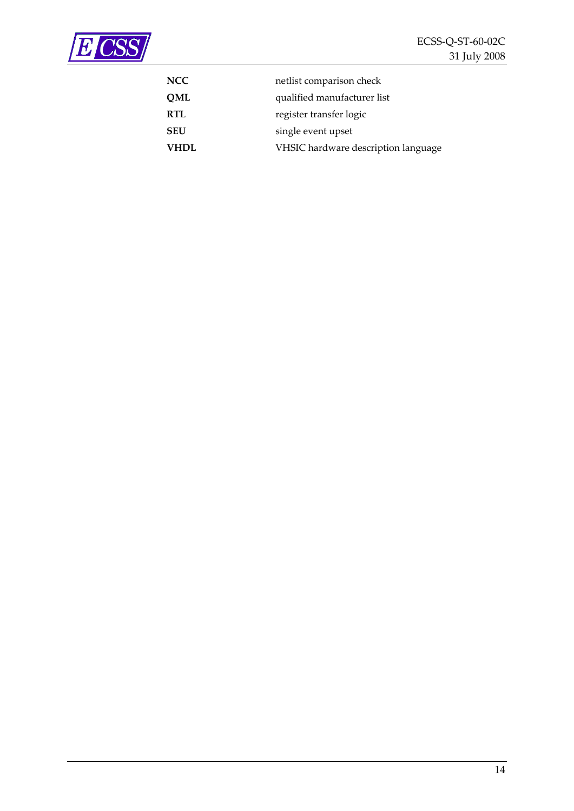

| <b>NCC</b>  | netlist comparison check            |
|-------------|-------------------------------------|
| QML         | qualified manufacturer list         |
| <b>RTL</b>  | register transfer logic             |
| <b>SEU</b>  | single event upset                  |
| <b>VHDL</b> | VHSIC hardware description language |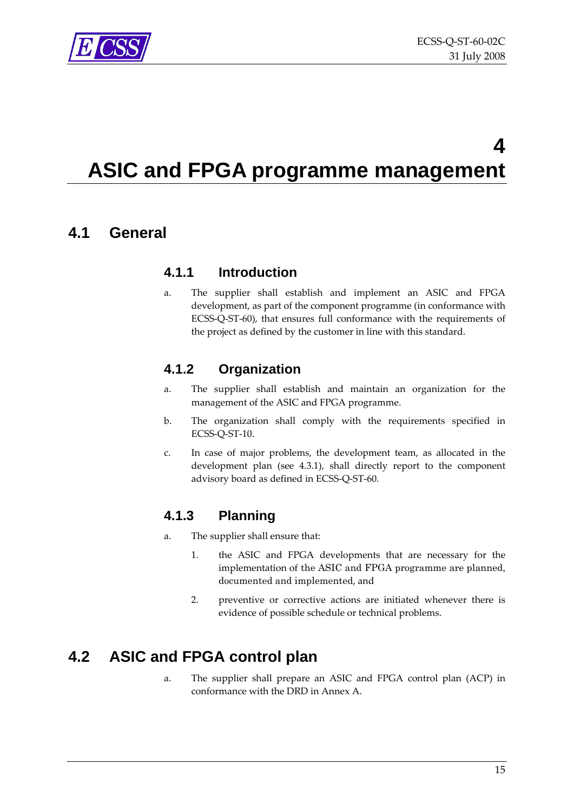<span id="page-14-0"></span>

## **4 ASIC and FPGA programme management**

### **4.1 General**

### **4.1.1 Introduction**

a. The supplier shall establish and implement an ASIC and FPGA development, as part of the component programme (in conformance with ECSS‐Q‐ST‐60), that ensures full conformance with the requirements of the project as defined by the customer in line with this standard.

### **4.1.2 Organization**

- a. The supplier shall establish and maintain an organization for the management of the ASIC and FPGA programme.
- b. The organization shall comply with the requirements specified in ECSS‐Q‐ST‐10.
- c. In case of major problems, the development team, as allocated in the development plan (see [4.3.1\)](#page-15-1), shall directly report to the component advisory board as defined in ECSS‐Q‐ST‐60.

### **4.1.3 Planning**

- a. The supplier shall ensure that:
	- 1. the ASIC and FPGA developments that are necessary for the implementation of the ASIC and FPGA programme are planned, documented and implemented, and
	- 2. preventive or corrective actions are initiated whenever there is evidence of possible schedule or technical problems.

### <span id="page-14-1"></span>**4.2 ASIC and FPGA control plan**

a. The supplier shall prepare an ASIC and FPGA control plan (ACP) in conformance with the DRD in [Annex](#page-46-1) A.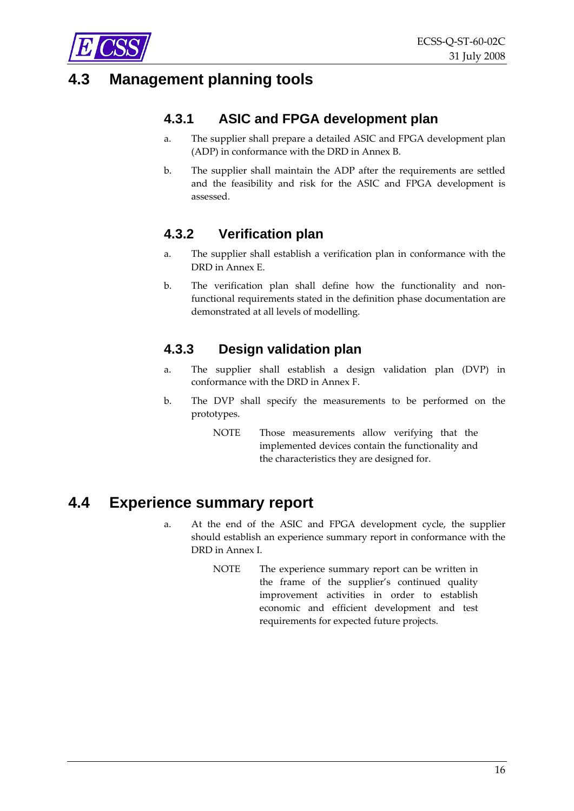<span id="page-15-0"></span>

### <span id="page-15-6"></span><span id="page-15-5"></span><span id="page-15-1"></span>**4.3 Management planning tools**

### **4.3.1 ASIC and FPGA development plan**

- a. The supplier shall prepare a detailed ASIC and FPGA development plan (ADP) in conformance with the DRD in [Annex](#page-48-1) B.
- b. The supplier shall maintain the ADP after the requirements are settled and the feasibility and risk for the ASIC and FPGA development is assessed.

### **4.3.2 Verification plan**

- <span id="page-15-3"></span>a. The supplier shall establish a verification plan in conformance with the DRD in [Annex](#page-53-1) E.
- b. The verification plan shall define how the functionality and nonfunctional requirements stated in the definition phase documentation are demonstrated at all levels of modelling.

### **4.3.3 Design validation plan**

- a. The supplier shall establish a design validation plan (DVP) in conformance with the DRD in [Annex](#page-54-1) F.
- b. The DVP shall specify the measurements to be performed on the prototypes.
	- NOTE Those measurements allow verifying that the implemented devices contain the functionality and the characteristics they are designed for.

### <span id="page-15-4"></span><span id="page-15-2"></span>**4.4 Experience summary report**

- a. At the end of the ASIC and FPGA development cycle, the supplier should establish an experience summary report in conformance with the DRD in [Annex](#page-59-1) I.
	- NOTE The experience summary report can be written in the frame of the supplier's continued quality improvement activities in order to establish economic and efficient development and test requirements for expected future projects.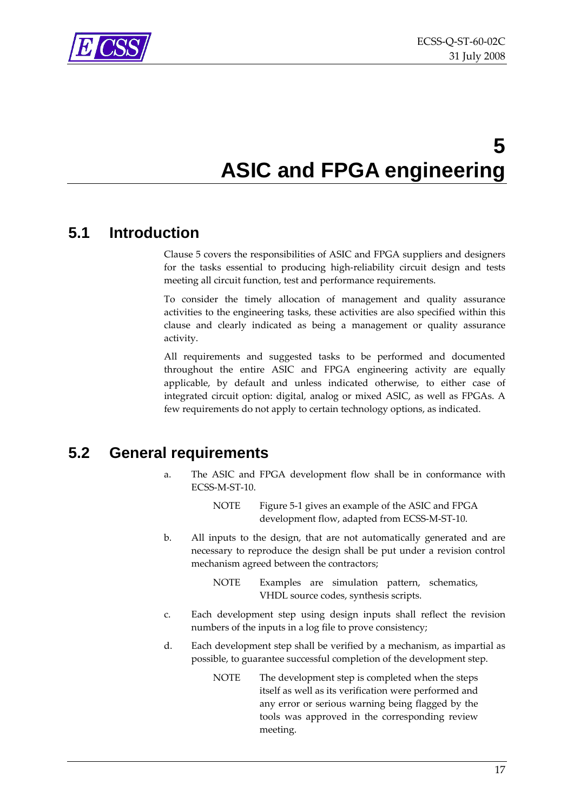<span id="page-16-0"></span>

## **5 ASIC and FPGA engineering**

### <span id="page-16-2"></span><span id="page-16-1"></span>**5.1 Introduction**

Clause 5 covers the responsibilities of ASIC and FPGA suppliers and designers for the tasks essential to producing high‐reliability circuit design and tests meeting all circuit function, test and performance requirements.

To consider the timely allocation of management and quality assurance activities to the engineering tasks, these activities are also specified within this clause and clearly indicated as being a management or quality assurance activity.

All requirements and suggested tasks to be performed and documented throughout the entire ASIC and FPGA engineering activity are equally applicable, by default and unless indicated otherwise, to either case of integrated circuit option: digital, analog or mixed ASIC, as well as FPGAs. A few requirements do not apply to certain technology options, as indicated.

### **5.2 General requirements**

- a. The ASIC and FPGA development flow shall be in conformance with ECSS‐M‐ST‐10.
	- NOTE [Figure](#page-17-1) 5-1 gives an example of the ASIC and FPGA development flow, adapted from ECSS‐M‐ST‐10.
- b. All inputs to the design, that are not automatically generated and are necessary to reproduce the design shall be put under a revision control mechanism agreed between the contractors;

NOTE Examples are simulation pattern, schematics, VHDL source codes, synthesis scripts.

- c. Each development step using design inputs shall reflect the revision numbers of the inputs in a log file to prove consistency;
- d. Each development step shall be verified by a mechanism, as impartial as possible, to guarantee successful completion of the development step.
	- NOTE The development step is completed when the steps itself as well as its verification were performed and any error or serious warning being flagged by the tools was approved in the corresponding review meeting.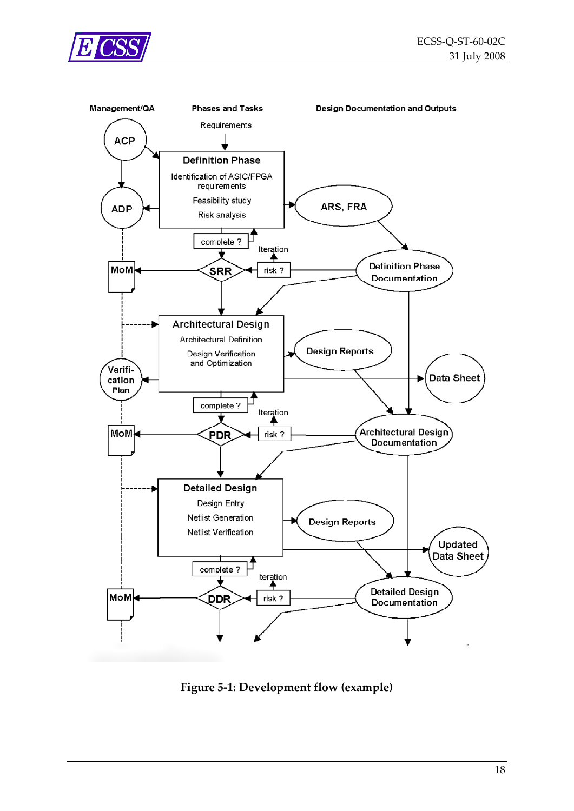<span id="page-17-0"></span>



<span id="page-17-1"></span>**Figure 5‐1: Development flow (example)**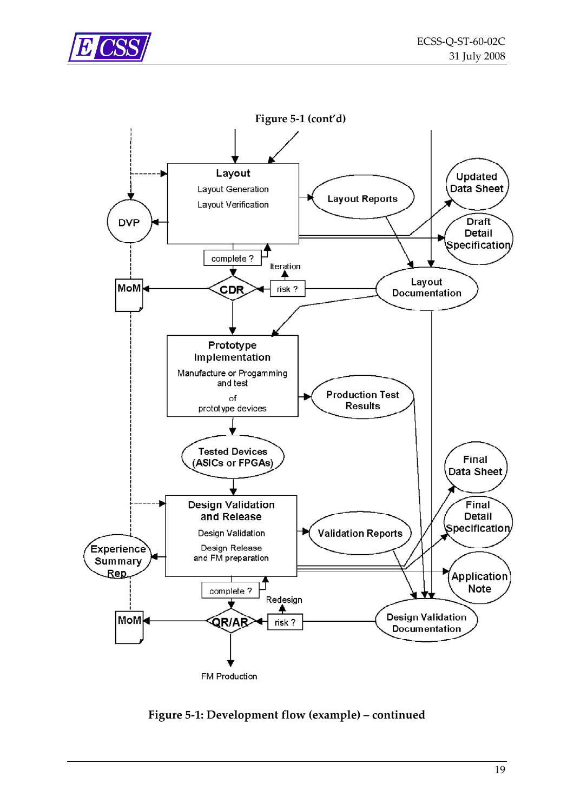



**Figure 5‐1: [Development](#page-17-1) flow (example) – continued**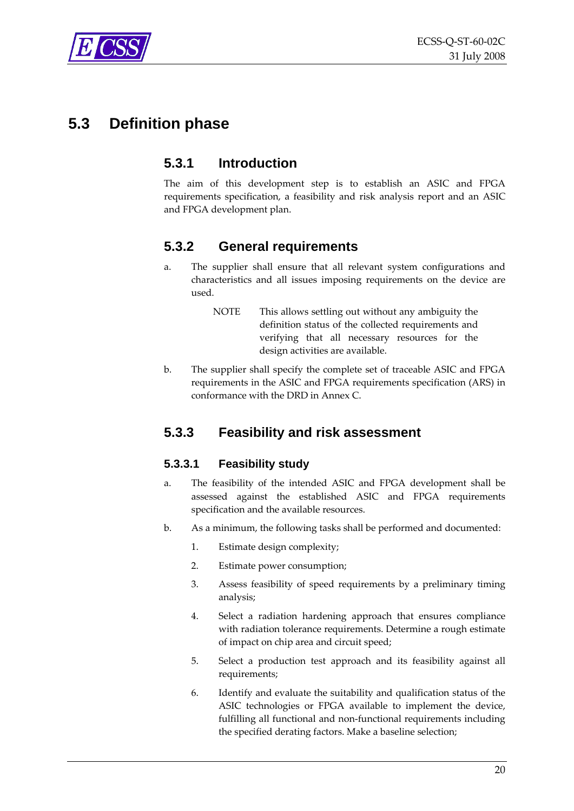<span id="page-19-0"></span>

### **5.3 Definition phase**

### **5.3.1 Introduction**

The aim of this development step is to establish an ASIC and FPGA requirements specification, a feasibility and risk analysis report and an ASIC and FPGA development plan.

### **5.3.2 General requirements**

- a. The supplier shall ensure that all relevant system configurations and characteristics and all issues imposing requirements on the device are used.
	- NOTE This allows settling out without any ambiguity the definition status of the collected requirements and verifying that all necessary resources for the design activities are available.
- <span id="page-19-2"></span>b. The supplier shall specify the complete set of traceable ASIC and FPGA requirements in the ASIC and FPGA requirements specification (ARS) in conformance with the DRD in [Annex](#page-50-1) C.

### <span id="page-19-1"></span>**5.3.3 Feasibility and risk assessment**

#### **5.3.3.1 Feasibility study**

- a. The feasibility of the intended ASIC and FPGA development shall be assessed against the established ASIC and FPGA requirements specification and the available resources.
- b. As a minimum, the following tasks shall be performed and documented:
	- 1. Estimate design complexity;
	- 2. Estimate power consumption;
	- 3. Assess feasibility of speed requirements by a preliminary timing analysis;
	- 4. Select a radiation hardening approach that ensures compliance with radiation tolerance requirements. Determine a rough estimate of impact on chip area and circuit speed;
	- 5. Select a production test approach and its feasibility against all requirements;
	- 6. Identify and evaluate the suitability and qualification status of the ASIC technologies or FPGA available to implement the device, fulfilling all functional and non‐functional requirements including the specified derating factors. Make a baseline selection;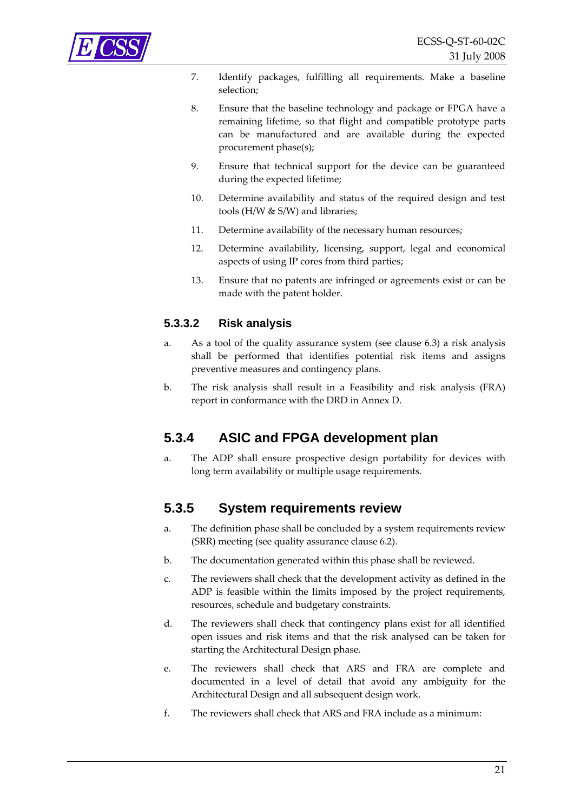<span id="page-20-0"></span>

- 7. Identify packages, fulfilling all requirements. Make a baseline selection;
- 8. Ensure that the baseline technology and package or FPGA have a remaining lifetime, so that flight and compatible prototype parts can be manufactured and are available during the expected procurement phase(s);
- 9. Ensure that technical support for the device can be guaranteed during the expected lifetime;
- 10. Determine availability and status of the required design and test tools (H/W & S/W) and libraries;
- 11. Determine availability of the necessary human resources;
- 12. Determine availability, licensing, support, legal and economical aspects of using IP cores from third parties;
- 13. Ensure that no patents are infringed or agreements exist or can be made with the patent holder.

#### **5.3.3.2 Risk analysis**

- <span id="page-20-3"></span>a. As a tool of the quality assurance system (see clause [6.3](#page-38-1)) a risk analysis shall be performed that identifies potential risk items and assigns preventive measures and contingency plans.
- <span id="page-20-4"></span>b. The risk analysis shall result in a Feasibility and risk analysis (FRA) report in conformance with the DRD in [Annex](#page-52-1) D.

### <span id="page-20-1"></span>**5.3.4 ASIC and FPGA development plan**

a. The ADP shall ensure prospective design portability for devices with long term availability or multiple usage requirements.

### <span id="page-20-2"></span>**5.3.5 System requirements review**

- a. The definition phase shall be concluded by a system requirements review (SRR) meeting (see quality assurance clause [6.2\)](#page-36-1).
- b. The documentation generated within this phase shall be reviewed.
- c. The reviewers shall check that the development activity as defined in the ADP is feasible within the limits imposed by the project requirements, resources, schedule and budgetary constraints.
- d. The reviewers shall check that contingency plans exist for all identified open issues and risk items and that the risk analysed can be taken for starting the Architectural Design phase.
- e. The reviewers shall check that ARS and FRA are complete and documented in a level of detail that avoid any ambiguity for the Architectural Design and all subsequent design work.
- f. The reviewers shall check that ARS and FRA include as a minimum: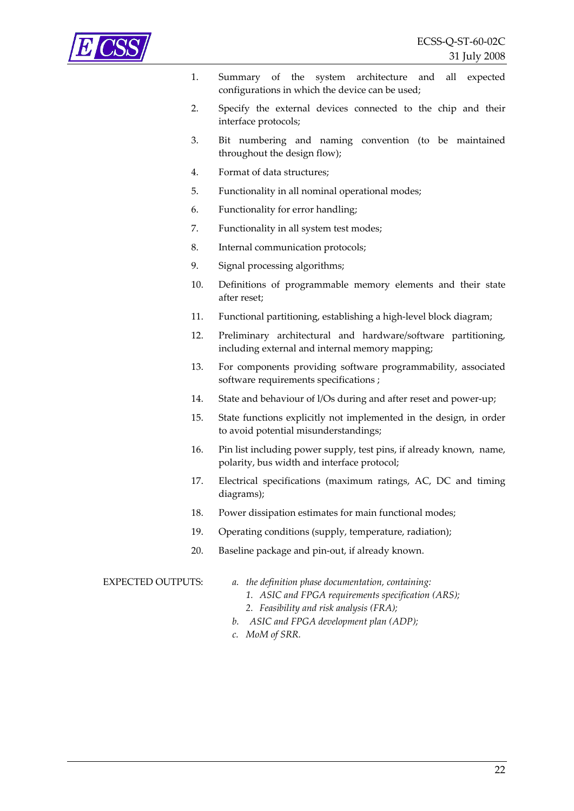- 1. Summary of the system architecture and all expected configurations in which the device can be used;
- 2. Specify the external devices connected to the chip and their interface protocols;
- 3. Bit numbering and naming convention (to be maintained throughout the design flow);
- 4. Format of data structures;
- 5. Functionality in all nominal operational modes;
- 6. Functionality for error handling;
- 7. Functionality in all system test modes;
- 8. Internal communication protocols;
- 9. Signal processing algorithms;
- 10. Definitions of programmable memory elements and their state after reset;
- 11. Functional partitioning, establishing a high-level block diagram;
- 12. Preliminary architectural and hardware/software partitioning, including external and internal memory mapping;
- 13. For components providing software programmability, associated software requirements specifications ;
- 14. State and behaviour of l/Os during and after reset and power‐up;
- 15. State functions explicitly not implemented in the design, in order to avoid potential misunderstandings;
- 16. Pin list including power supply, test pins, if already known, name, polarity, bus width and interface protocol;
- 17. Electrical specifications (maximum ratings, AC, DC and timing diagrams);
- 18. Power dissipation estimates for main functional modes;
- 19. Operating conditions (supply, temperature, radiation);
- 20. Baseline package and pin‐out, if already known.

- EXPECTED OUTPUTS: *a. the definition phase documentation, containing:*
	- *1. ASIC and FPGA requirements specification (ARS);*
	- *2. Feasibility and risk analysis (FRA);*
	- *b. ASIC and FPGA development plan (ADP);*
	- *c. MoM of SRR.*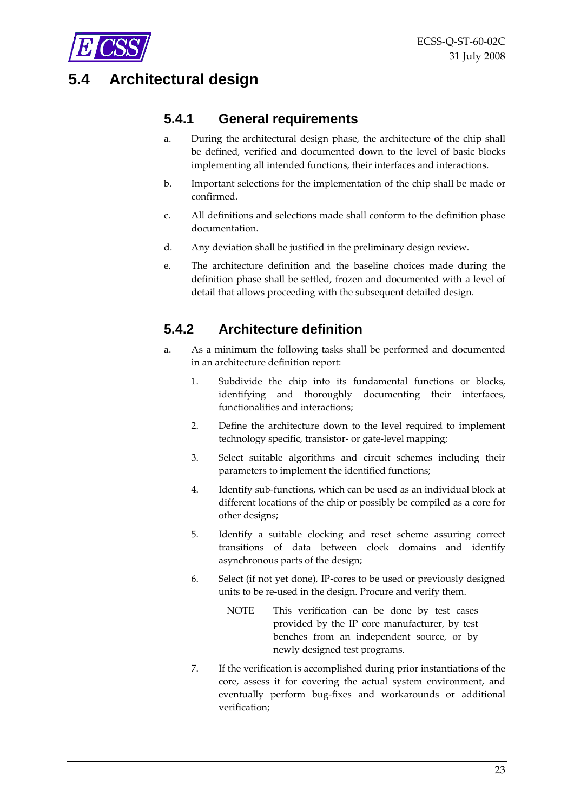<span id="page-22-0"></span>

### **5.4 Architectural design**

### **5.4.1 General requirements**

- a. During the architectural design phase, the architecture of the chip shall be defined, verified and documented down to the level of basic blocks implementing all intended functions, their interfaces and interactions.
- b. Important selections for the implementation of the chip shall be made or confirmed.
- c. All definitions and selections made shall conform to the definition phase documentation.
- d. Any deviation shall be justified in the preliminary design review.
- e. The architecture definition and the baseline choices made during the definition phase shall be settled, frozen and documented with a level of detail that allows proceeding with the subsequent detailed design.

### <span id="page-22-1"></span>**5.4.2 Architecture definition**

- a. As a minimum the following tasks shall be performed and documented in an architecture definition report:
	- 1. Subdivide the chip into its fundamental functions or blocks, identifying and thoroughly documenting their interfaces, functionalities and interactions;
	- 2. Define the architecture down to the level required to implement technology specific, transistor‐ or gate‐level mapping;
	- 3. Select suitable algorithms and circuit schemes including their parameters to implement the identified functions;
	- 4. Identify sub-functions, which can be used as an individual block at different locations of the chip or possibly be compiled as a core for other designs;
	- 5. Identify a suitable clocking and reset scheme assuring correct transitions of data between clock domains and identify asynchronous parts of the design;
	- 6. Select (if not yet done), IP‐cores to be used or previously designed units to be re‐used in the design. Procure and verify them.
		- NOTE This verification can be done by test cases provided by the IP core manufacturer, by test benches from an independent source, or by newly designed test programs.
	- 7. If the verification is accomplished during prior instantiations of the core, assess it for covering the actual system environment, and eventually perform bug‐fixes and workarounds or additional verification;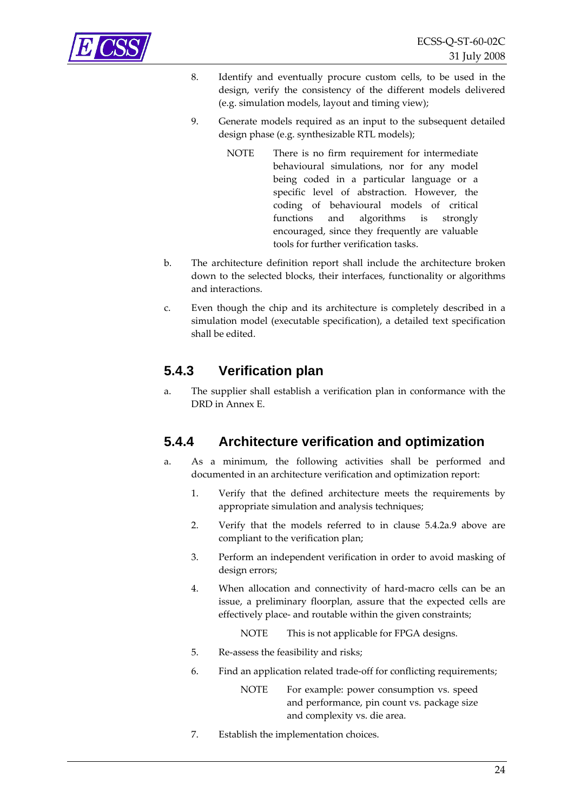- <span id="page-23-0"></span>8. Identify and eventually procure custom cells, to be used in the design, verify the consistency of the different models delivered (e.g. simulation models, layout and timing view);
- <span id="page-23-1"></span>9. Generate models required as an input to the subsequent detailed design phase (e.g. synthesizable RTL models);
	- NOTE There is no firm requirement for intermediate behavioural simulations, nor for any model being coded in a particular language or a specific level of abstraction. However, the coding of behavioural models of critical functions and algorithms is strongly encouraged, since they frequently are valuable tools for further verification tasks.
- b. The architecture definition report shall include the architecture broken down to the selected blocks, their interfaces, functionality or algorithms and interactions.
- c. Even though the chip and its architecture is completely described in a simulation model (executable specification), a detailed text specification shall be edited.

### **5.4.3 Verification plan**

<span id="page-23-3"></span>a. The supplier shall establish a verification plan in conformance with the DRD in [Annex](#page-53-1) E.

### <span id="page-23-2"></span>**5.4.4 Architecture verification and optimization**

- a. As a minimum, the following activities shall be performed and documented in an architecture verification and optimization report:
	- 1. Verify that the defined architecture meets the requirements by appropriate simulation and analysis techniques;
	- 2. Verify that the models referred to in clause [5.4.2a.9](#page-23-1) above are compliant to the verification plan;
	- 3. Perform an independent verification in order to avoid masking of design errors;
	- 4. When allocation and connectivity of hard‐macro cells can be an issue, a preliminary floorplan, assure that the expected cells are effectively place‐ and routable within the given constraints;
		- NOTE This is not applicable for FPGA designs.
	- 5. Re‐assess the feasibility and risks;
	- 6. Find an application related trade‐off for conflicting requirements;
		- NOTE For example: power consumption vs. speed and performance, pin count vs. package size and complexity vs. die area.
	- 7. Establish the implementation choices.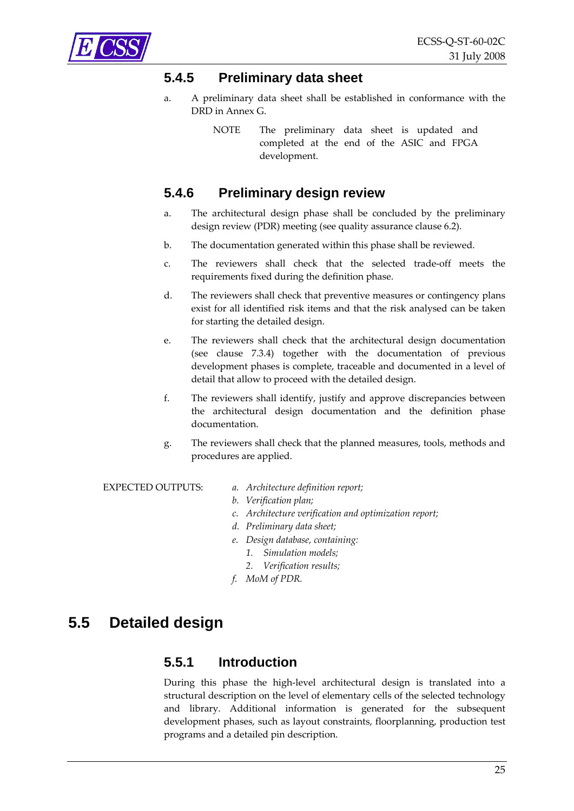### <span id="page-24-0"></span>**5.4.5 Preliminary data sheet**

- <span id="page-24-2"></span>a. A preliminary data sheet shall be established in conformance with the DRD in [Annex](#page-55-1) G.
	- NOTE The preliminary data sheet is updated and completed at the end of the ASIC and FPGA development.

### <span id="page-24-1"></span>**5.4.6 Preliminary design review**

- a. The architectural design phase shall be concluded by the preliminary design review (PDR) meeting (see quality assurance clause [6.2](#page-36-1)).
- b. The documentation generated within this phase shall be reviewed.
- c. The reviewers shall check that the selected trade‐off meets the requirements fixed during the definition phase.
- d. The reviewers shall check that preventive measures or contingency plans exist for all identified risk items and that the risk analysed can be taken for starting the detailed design.
- e. The reviewers shall check that the architectural design documentation (see clause [7.3.4](#page-42-1)) together with the documentation of previous development phases is complete, traceable and documented in a level of detail that allow to proceed with the detailed design.
- f. The reviewers shall identify, justify and approve discrepancies between the architectural design documentation and the definition phase documentation.
- g. The reviewers shall check that the planned measures, tools, methods and procedures are applied.

EXPECTED OUTPUTS: *a. Architecture definition report;*

- *b. Verification plan;*
- *c. Architecture verification and optimization report;*
- *d. Preliminary data sheet;*
- *e. Design database, containing:*
	- *1. Simulation models;*
	- *2. Verification results;*
- *f. MoM of PDR.*

### **5.5 Detailed design**

### **5.5.1 Introduction**

During this phase the high-level architectural design is translated into a structural description on the level of elementary cells of the selected technology and library. Additional information is generated for the subsequent development phases, such as layout constraints, floorplanning, production test programs and a detailed pin description.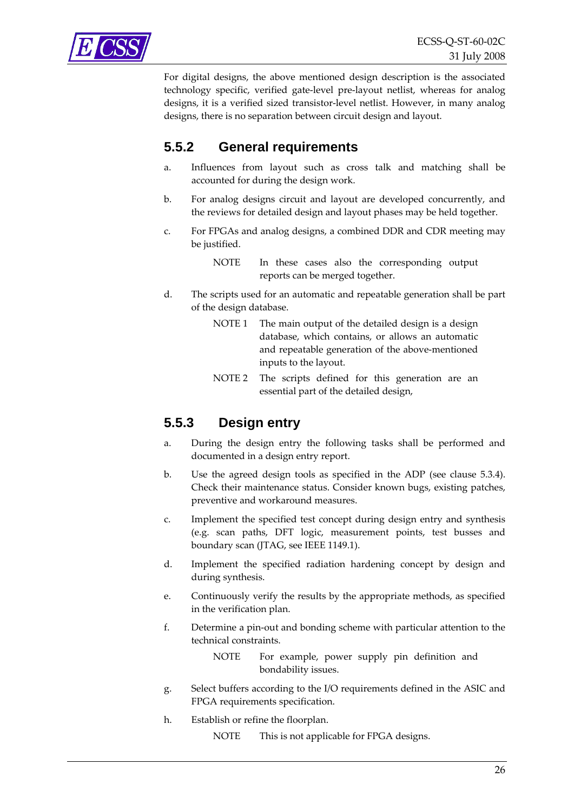<span id="page-25-0"></span>

For digital designs, the above mentioned design description is the associated technology specific, verified gate‐level pre‐layout netlist, whereas for analog designs, it is a verified sized transistor‐level netlist. However, in many analog designs, there is no separation between circuit design and layout.

### **5.5.2 General requirements**

- a. Influences from layout such as cross talk and matching shall be accounted for during the design work.
- b. For analog designs circuit and layout are developed concurrently, and the reviews for detailed design and layout phases may be held together.
- c. For FPGAs and analog designs, a combined DDR and CDR meeting may be justified.

NOTE In these cases also the corresponding output reports can be merged together.

- d. The scripts used for an automatic and repeatable generation shall be part of the design database.
	- NOTE 1 The main output of the detailed design is a design database, which contains, or allows an automatic and repeatable generation of the above‐mentioned inputs to the layout.
	- NOTE 2 The scripts defined for this generation are an essential part of the detailed design,

### <span id="page-25-1"></span>**5.5.3 Design entry**

- a. During the design entry the following tasks shall be performed and documented in a design entry report.
- b. Use the agreed design tools as specified in the ADP (see clause [5.3.4\)](#page-20-1). Check their maintenance status. Consider known bugs, existing patches, preventive and workaround measures.
- c. Implement the specified test concept during design entry and synthesis (e.g. scan paths, DFT logic, measurement points, test busses and boundary scan (JTAG, see IEEE 1149.1).
- d. Implement the specified radiation hardening concept by design and during synthesis.
- e. Continuously verify the results by the appropriate methods, as specified in the verification plan.
- f. Determine a pin‐out and bonding scheme with particular attention to the technical constraints.
	- NOTE For example, power supply pin definition and bondability issues.
- g. Select buffers according to the I/O requirements defined in the ASIC and FPGA requirements specification.
- h. Establish or refine the floorplan.
	- NOTE This is not applicable for FPGA designs.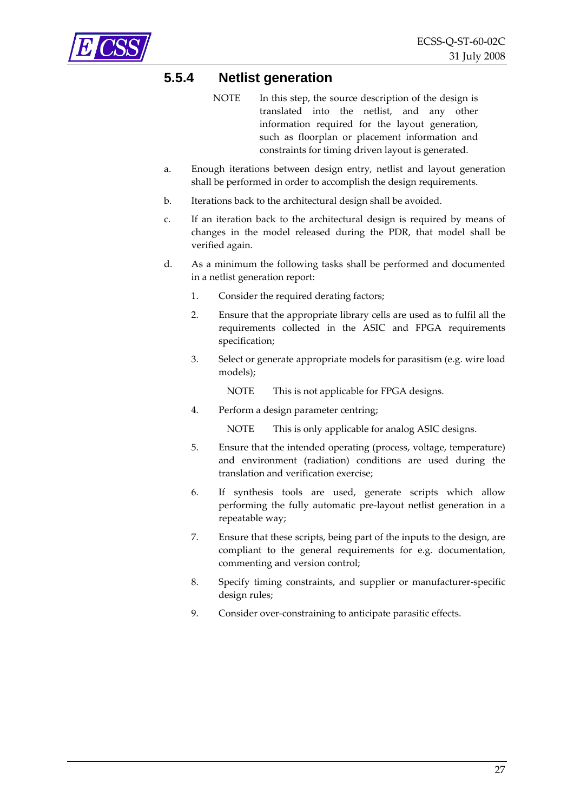<span id="page-26-1"></span><span id="page-26-0"></span>

### **5.5.4 Netlist generation**

- NOTE In this step, the source description of the design is translated into the netlist, and any other information required for the layout generation, such as floorplan or placement information and constraints for timing driven layout is generated.
- a. Enough iterations between design entry, netlist and layout generation shall be performed in order to accomplish the design requirements.
- b. Iterations back to the architectural design shall be avoided.
- c. If an iteration back to the architectural design is required by means of changes in the model released during the PDR, that model shall be verified again.
- d. As a minimum the following tasks shall be performed and documented in a netlist generation report:
	- 1. Consider the required derating factors;
	- 2. Ensure that the appropriate library cells are used as to fulfil all the requirements collected in the ASIC and FPGA requirements specification;
	- 3. Select or generate appropriate models for parasitism (e.g. wire load models);
		- NOTE This is not applicable for FPGA designs.
	- 4. Perform a design parameter centring;

NOTE This is only applicable for analog ASIC designs.

- 5. Ensure that the intended operating (process, voltage, temperature) and environment (radiation) conditions are used during the translation and verification exercise;
- 6. If synthesis tools are used, generate scripts which allow performing the fully automatic pre‐layout netlist generation in a repeatable way;
- 7. Ensure that these scripts, being part of the inputs to the design, are compliant to the general requirements for e.g. documentation, commenting and version control;
- 8. Specify timing constraints, and supplier or manufacturer-specific design rules;
- 9. Consider over-constraining to anticipate parasitic effects.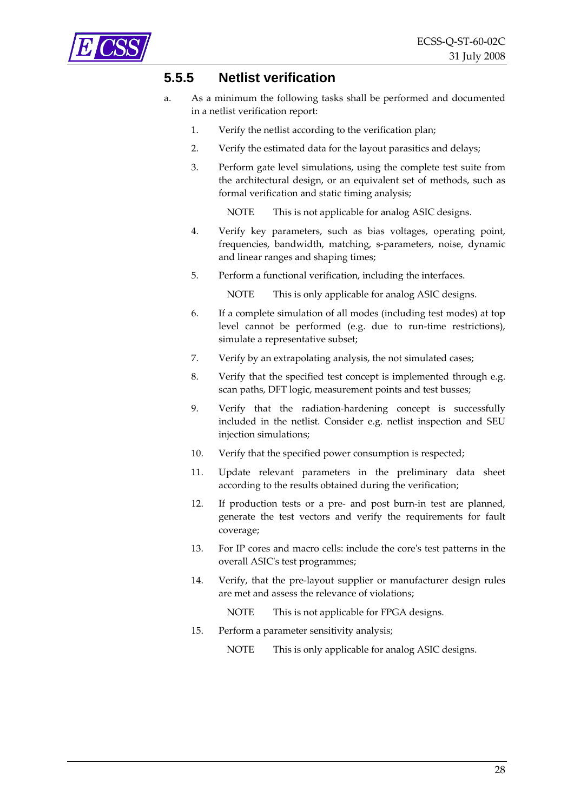<span id="page-27-1"></span><span id="page-27-0"></span>

### **5.5.5 Netlist verification**

- a. As a minimum the following tasks shall be performed and documented in a netlist verification report:
	- 1. Verify the netlist according to the verification plan;
	- 2. Verify the estimated data for the layout parasitics and delays;
	- 3. Perform gate level simulations, using the complete test suite from the architectural design, or an equivalent set of methods, such as formal verification and static timing analysis;

NOTE This is not applicable for analog ASIC designs.

- 4. Verify key parameters, such as bias voltages, operating point, frequencies, bandwidth, matching, s‐parameters, noise, dynamic and linear ranges and shaping times;
- 5. Perform a functional verification, including the interfaces.

NOTE This is only applicable for analog ASIC designs.

- 6. If a complete simulation of all modes (including test modes) at top level cannot be performed (e.g. due to run-time restrictions), simulate a representative subset;
- 7. Verify by an extrapolating analysis, the not simulated cases;
- 8. Verify that the specified test concept is implemented through e.g. scan paths, DFT logic, measurement points and test busses;
- 9. Verify that the radiation-hardening concept is successfully included in the netlist. Consider e.g. netlist inspection and SEU injection simulations;
- 10. Verify that the specified power consumption is respected;
- 11. Update relevant parameters in the preliminary data sheet according to the results obtained during the verification;
- 12. If production tests or a pre- and post burn-in test are planned, generate the test vectors and verify the requirements for fault coverage;
- 13. For IP cores and macro cells: include the coreʹs test patterns in the overall ASICʹs test programmes;
- 14. Verify, that the pre‐layout supplier or manufacturer design rules are met and assess the relevance of violations;
	- NOTE This is not applicable for FPGA designs.
- 15. Perform a parameter sensitivity analysis;

NOTE This is only applicable for analog ASIC designs.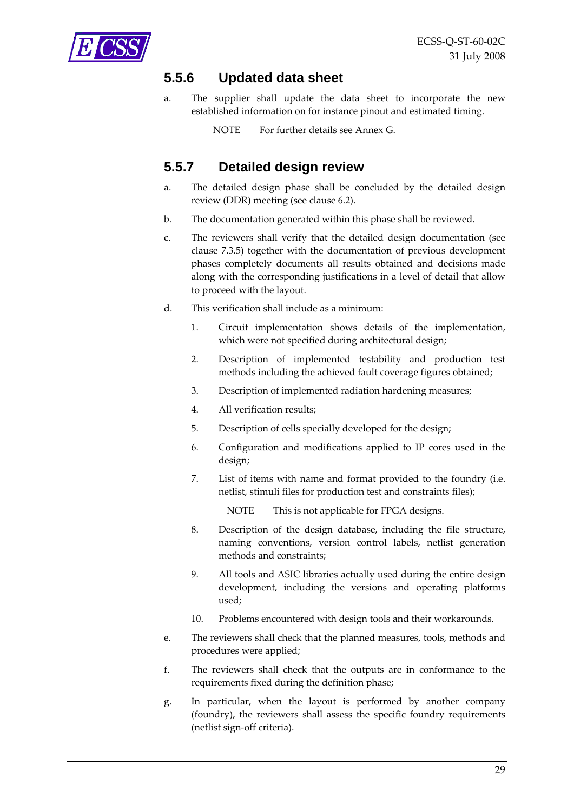<span id="page-28-1"></span><span id="page-28-0"></span>

#### **5.5.6 Updated data sheet**

a. The supplier shall update the data sheet to incorporate the new established information on for instance pinout and estimated timing.

NOTE For further details see [Annex](#page-55-1) G.

### **5.5.7 Detailed design review**

- a. The detailed design phase shall be concluded by the detailed design review (DDR) meeting (see clause [6.2](#page-36-1)).
- b. The documentation generated within this phase shall be reviewed.
- c. The reviewers shall verify that the detailed design documentation (see clause [7.3.5\)](#page-43-1) together with the documentation of previous development phases completely documents all results obtained and decisions made along with the corresponding justifications in a level of detail that allow to proceed with the layout.
- d. This verification shall include as a minimum:
	- 1. Circuit implementation shows details of the implementation, which were not specified during architectural design;
	- 2. Description of implemented testability and production test methods including the achieved fault coverage figures obtained;
	- 3. Description of implemented radiation hardening measures;
	- 4. All verification results;
	- 5. Description of cells specially developed for the design;
	- 6. Configuration and modifications applied to IP cores used in the design;
	- 7. List of items with name and format provided to the foundry (i.e. netlist, stimuli files for production test and constraints files);

NOTE This is not applicable for FPGA designs.

- 8. Description of the design database, including the file structure, naming conventions, version control labels, netlist generation methods and constraints;
- 9. All tools and ASIC libraries actually used during the entire design development, including the versions and operating platforms used;
- 10. Problems encountered with design tools and their workarounds.
- e. The reviewers shall check that the planned measures, tools, methods and procedures were applied;
- f. The reviewers shall check that the outputs are in conformance to the requirements fixed during the definition phase;
- g. In particular, when the layout is performed by another company (foundry), the reviewers shall assess the specific foundry requirements (netlist sign‐off criteria).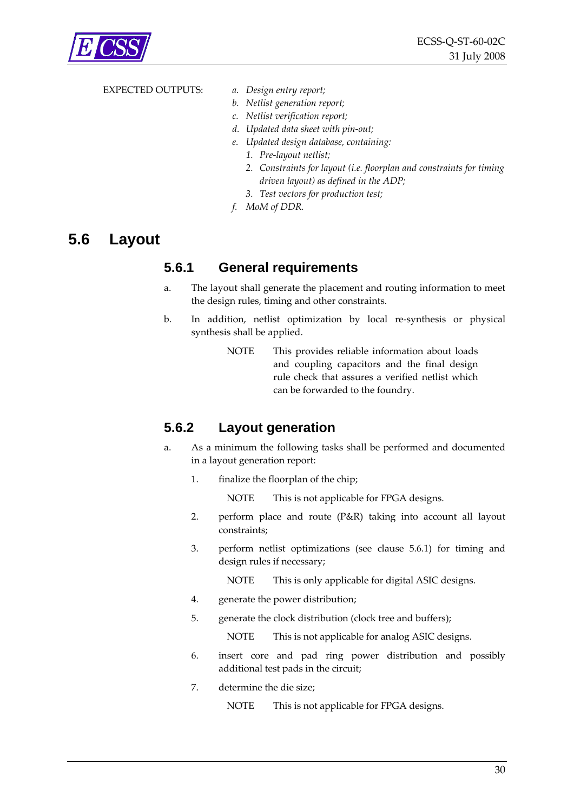<span id="page-29-0"></span>

#### EXPECTED OUTPUTS: *a. Design entry report;*

- 
- *b. Netlist generation report;*
- *c. Netlist verification report;*
- *d. Updated data sheet with pin‐out;*
- *e. Updated design database, containing:*
	- *1. Pre‐layout netlist;*
	- *2. Constraints for layout (i.e. floorplan and constraints for timing driven layout) as defined in the ADP;*
	- *3. Test vectors for production test;*
- *f. MoM of DDR.*

### <span id="page-29-1"></span>**5.6 Layout**

#### **5.6.1 General requirements**

- a. The layout shall generate the placement and routing information to meet the design rules, timing and other constraints.
- b. In addition, netlist optimization by local re‐synthesis or physical synthesis shall be applied.
	- NOTE This provides reliable information about loads and coupling capacitors and the final design rule check that assures a verified netlist which can be forwarded to the foundry.

### <span id="page-29-2"></span>**5.6.2 Layout generation**

- a. As a minimum the following tasks shall be performed and documented in a layout generation report:
	- 1. finalize the floorplan of the chip;

NOTE This is not applicable for FPGA designs.

- 2. perform place and route (P&R) taking into account all layout constraints;
- 3. perform netlist optimizations (see clause [5.6.1\)](#page-29-1) for timing and design rules if necessary;

NOTE This is only applicable for digital ASIC designs.

- 4. generate the power distribution;
- 5. generate the clock distribution (clock tree and buffers);

NOTE This is not applicable for analog ASIC designs.

- 6. insert core and pad ring power distribution and possibly additional test pads in the circuit;
- 7. determine the die size;

NOTE This is not applicable for FPGA designs.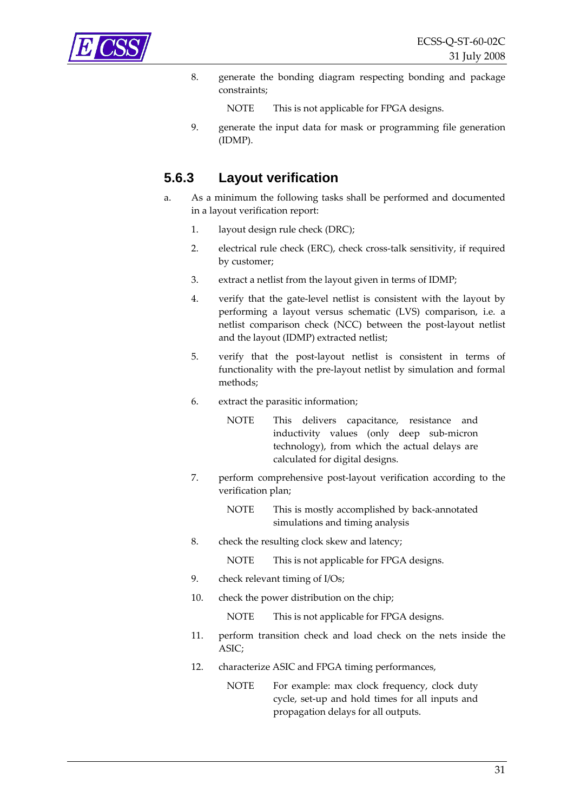<span id="page-30-1"></span><span id="page-30-0"></span>

8. generate the bonding diagram respecting bonding and package constraints;

NOTE This is not applicable for FPGA designs.

9. generate the input data for mask or programming file generation (IDMP).

### **5.6.3 Layout verification**

- a. As a minimum the following tasks shall be performed and documented in a layout verification report:
	- 1. layout design rule check (DRC);
	- 2. electrical rule check (ERC), check cross-talk sensitivity, if required by customer;
	- 3. extract a netlist from the layout given in terms of IDMP;
	- 4. verify that the gate‐level netlist is consistent with the layout by performing a layout versus schematic (LVS) comparison, i.e. a netlist comparison check (NCC) between the post‐layout netlist and the layout (IDMP) extracted netlist;
	- 5. verify that the post‐layout netlist is consistent in terms of functionality with the pre‐layout netlist by simulation and formal methods;
	- 6. extract the parasitic information;
		- NOTE This delivers capacitance, resistance and inductivity values (only deep sub‐micron technology), from which the actual delays are calculated for digital designs.
	- 7. perform comprehensive post‐layout verification according to the verification plan;
		- NOTE This is mostly accomplished by back-annotated simulations and timing analysis
	- 8. check the resulting clock skew and latency;

NOTE This is not applicable for FPGA designs.

- 9. check relevant timing of I/Os;
- 10. check the power distribution on the chip;

NOTE This is not applicable for FPGA designs.

- 11. perform transition check and load check on the nets inside the ASIC;
- 12. characterize ASIC and FPGA timing performances,

NOTE For example: max clock frequency, clock duty cycle, set‐up and hold times for all inputs and propagation delays for all outputs.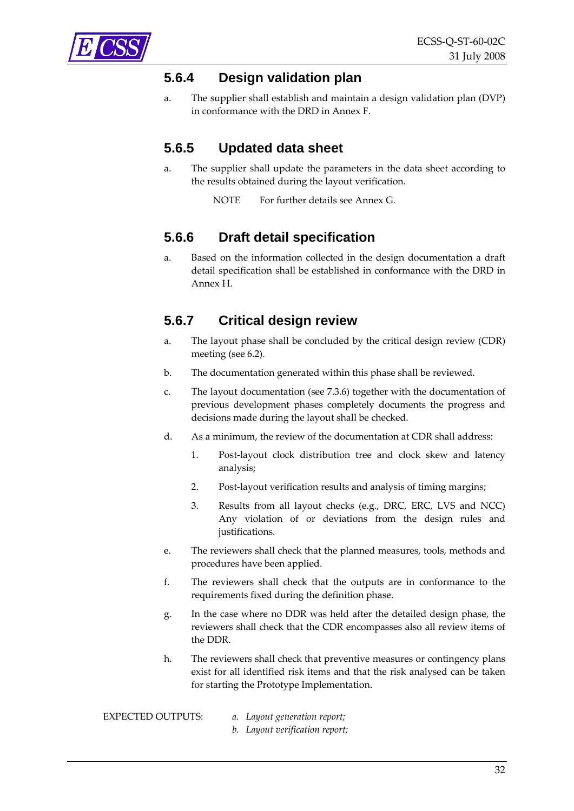<span id="page-31-2"></span><span id="page-31-0"></span>

### **5.6.4 Design validation plan**

a. The supplier shall establish and maintain a design validation plan (DVP) in conformance with the DRD in [Annex](#page-54-1) F.

### **5.6.5 Updated data sheet**

a. The supplier shall update the parameters in the data sheet according to the results obtained during the layout verification.

NOTE For further details see [Annex](#page-55-1) G.

### <span id="page-31-3"></span>**5.6.6 Draft detail specification**

a. Based on the information collected in the design documentation a draft detail specification shall be established in conformance with the DRD in [Annex](#page-57-1) H.

### <span id="page-31-1"></span>**5.6.7 Critical design review**

- a. The layout phase shall be concluded by the critical design review (CDR) meeting (see [6.2](#page-36-1)).
- b. The documentation generated within this phase shall be reviewed.
- c. The layout documentation (see [7.3.6\)](#page-43-2) together with the documentation of previous development phases completely documents the progress and decisions made during the layout shall be checked.
- d. As a minimum, the review of the documentation at CDR shall address:
	- 1. Post‐layout clock distribution tree and clock skew and latency analysis;
	- 2. Post-layout verification results and analysis of timing margins;
	- 3. Results from all layout checks (e.g., DRC, ERC, LVS and NCC) Any violation of or deviations from the design rules and justifications.
- e. The reviewers shall check that the planned measures, tools, methods and procedures have been applied.
- f. The reviewers shall check that the outputs are in conformance to the requirements fixed during the definition phase.
- g. In the case where no DDR was held after the detailed design phase, the reviewers shall check that the CDR encompasses also all review items of the DDR.
- h. The reviewers shall check that preventive measures or contingency plans exist for all identified risk items and that the risk analysed can be taken for starting the Prototype Implementation.

- EXPECTED OUTPUTS: *a. Layout generation report;*
	- *b. Layout verification report;*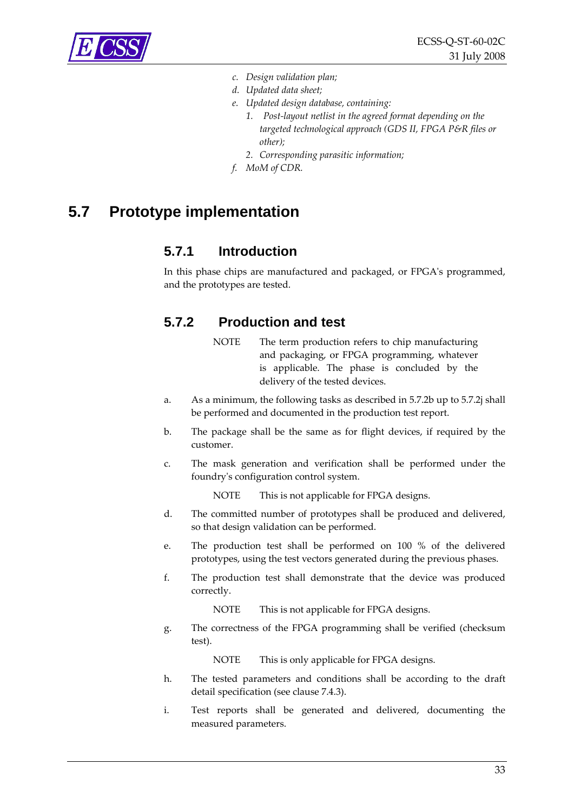<span id="page-32-0"></span>

- *c. Design validation plan;*
- *d. Updated data sheet;*
- *e. Updated design database, containing:*
	- *1. Post‐layout netlist in the agreed format depending on the targeted technological approach (GDS II, FPGA P&R files or other);*
	- *2. Corresponding parasitic information;*
- *f. MoM of CDR.*

### **5.7 Prototype implementation**

### **5.7.1 Introduction**

In this phase chips are manufactured and packaged, or FPGAʹs programmed, and the prototypes are tested.

### **5.7.2 Production and test**

- NOTE The term production refers to chip manufacturing and packaging, or FPGA programming, whatever is applicable. The phase is concluded by the delivery of the tested devices.
- a. As a minimum, the following tasks as described in [5.7.2b](#page-32-1) up to [5.7.2j](#page-33-1) shall be performed and documented in the production test report.
- <span id="page-32-1"></span>b. The package shall be the same as for flight devices, if required by the customer.
- c. The mask generation and verification shall be performed under the foundryʹs configuration control system.

NOTE This is not applicable for FPGA designs.

- d. The committed number of prototypes shall be produced and delivered, so that design validation can be performed.
- e. The production test shall be performed on 100 % of the delivered prototypes, using the test vectors generated during the previous phases.
- f. The production test shall demonstrate that the device was produced correctly.

NOTE This is not applicable for FPGA designs.

g. The correctness of the FPGA programming shall be verified (checksum test).

NOTE This is only applicable for FPGA designs.

- h. The tested parameters and conditions shall be according to the draft detail specification (see clause [7.4.3\)](#page-44-1).
- i. Test reports shall be generated and delivered, documenting the measured parameters.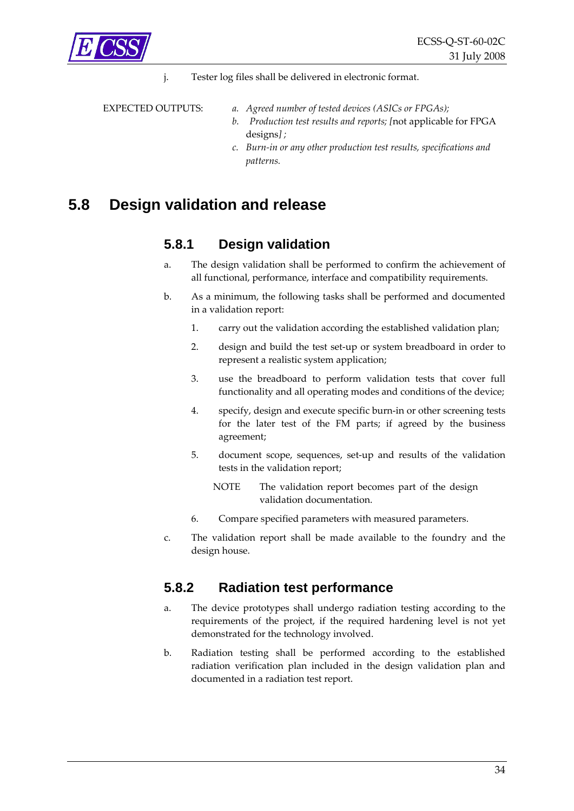<span id="page-33-1"></span><span id="page-33-0"></span>

j. Tester log files shall be delivered in electronic format.

- EXPECTED OUTPUTS: *a. Agreed number of tested devices (ASICs or FPGAs);*
	- *b. Production test results and reports; [*not applicable for FPGA designs*] ;*
	- *c. Burn‐in or any other production test results, specifications and patterns.*

### <span id="page-33-2"></span>**5.8 Design validation and release**

### **5.8.1 Design validation**

- a. The design validation shall be performed to confirm the achievement of all functional, performance, interface and compatibility requirements.
- b. As a minimum, the following tasks shall be performed and documented in a validation report:
	- 1. carry out the validation according the established validation plan;
	- 2. design and build the test set‐up or system breadboard in order to represent a realistic system application;
	- 3. use the breadboard to perform validation tests that cover full functionality and all operating modes and conditions of the device;
	- 4. specify, design and execute specific burn‐in or other screening tests for the later test of the FM parts; if agreed by the business agreement;
	- 5. document scope, sequences, set‐up and results of the validation tests in the validation report;
		- NOTE The validation report becomes part of the design validation documentation.
	- 6. Compare specified parameters with measured parameters.
- c. The validation report shall be made available to the foundry and the design house.

### **5.8.2 Radiation test performance**

- a. The device prototypes shall undergo radiation testing according to the requirements of the project, if the required hardening level is not yet demonstrated for the technology involved.
- b. Radiation testing shall be performed according to the established radiation verification plan included in the design validation plan and documented in a radiation test report.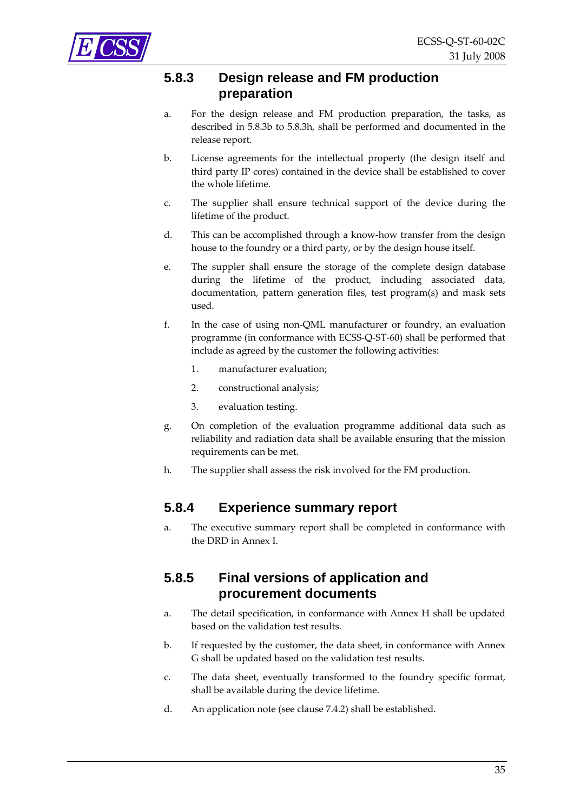<span id="page-34-3"></span><span id="page-34-1"></span><span id="page-34-0"></span>

### **5.8.3 Design release and FM production preparation**

- a. For the design release and FM production preparation, the tasks, as described in [5.8.3b](#page-34-1) to [5.8.3h](#page-34-2), shall be performed and documented in the release report.
- b. License agreements for the intellectual property (the design itself and third party IP cores) contained in the device shall be established to cover the whole lifetime.
- c. The supplier shall ensure technical support of the device during the lifetime of the product.
- d. This can be accomplished through a know‐how transfer from the design house to the foundry or a third party, or by the design house itself.
- e. The suppler shall ensure the storage of the complete design database during the lifetime of the product, including associated data, documentation, pattern generation files, test program(s) and mask sets used.
- f. In the case of using non‐QML manufacturer or foundry, an evaluation programme (in conformance with ECSS‐Q‐ST‐60) shall be performed that include as agreed by the customer the following activities:
	- 1. manufacturer evaluation;
	- 2. constructional analysis;
	- 3. evaluation testing.
- g. On completion of the evaluation programme additional data such as reliability and radiation data shall be available ensuring that the mission requirements can be met.
- <span id="page-34-2"></span>h. The supplier shall assess the risk involved for the FM production.

### <span id="page-34-4"></span>**5.8.4 Experience summary report**

a. The executive summary report shall be completed in conformance with the DRD in [Annex](#page-59-1) I.

### **5.8.5 Final versions of application and procurement documents**

- a. The detail specification, in conformance with [Annex](#page-57-1) H shall be updated based on the validation test results.
- b. If requested by the customer, the data sheet, in conformance with [Annex](#page-55-1) [G](#page-55-1) shall be updated based on the validation test results.
- c. The data sheet, eventually transformed to the foundry specific format, shall be available during the device lifetime.
- d. An application note (see clause [7.4.2](#page-43-3)) shall be established.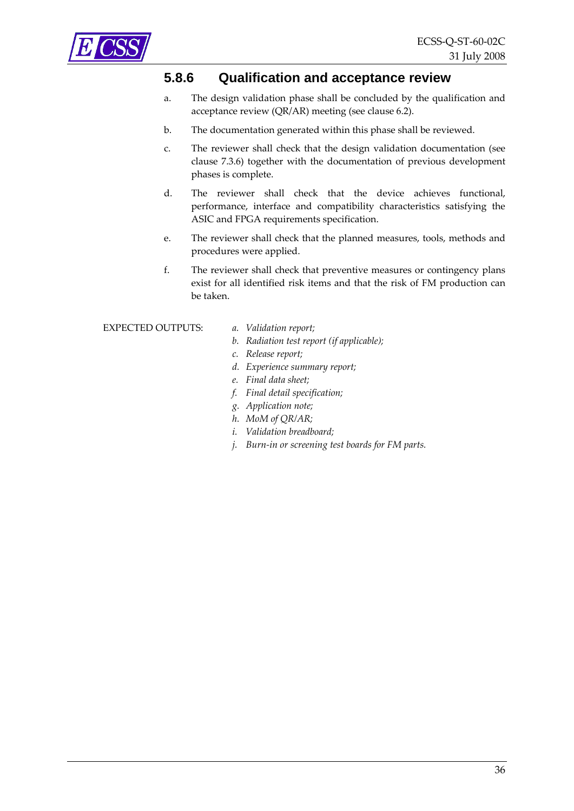<span id="page-35-1"></span><span id="page-35-0"></span>

### **5.8.6 Qualification and acceptance review**

- a. The design validation phase shall be concluded by the qualification and acceptance review (QR/AR) meeting (see clause [6.2\)](#page-36-1).
- b. The documentation generated within this phase shall be reviewed.
- c. The reviewer shall check that the design validation documentation (see clause [7.3.6\)](#page-43-2) together with the documentation of previous development phases is complete.
- d. The reviewer shall check that the device achieves functional, performance, interface and compatibility characteristics satisfying the ASIC and FPGA requirements specification.
- e. The reviewer shall check that the planned measures, tools, methods and procedures were applied.
- f. The reviewer shall check that preventive measures or contingency plans exist for all identified risk items and that the risk of FM production can be taken.

#### EXPECTED OUTPUTS: *a. Validation report;*

- 
- *b. Radiation test report (if applicable);*
- *c. Release report;*
- *d. Experience summary report;*
- *e. Final data sheet;*
- *f. Final detail specification;*
- *g. Application note;*
- *h. MoM of QR/AR;*
- *i. Validation breadboard;*
- *j. Burn‐in or screening test boards for FM parts.*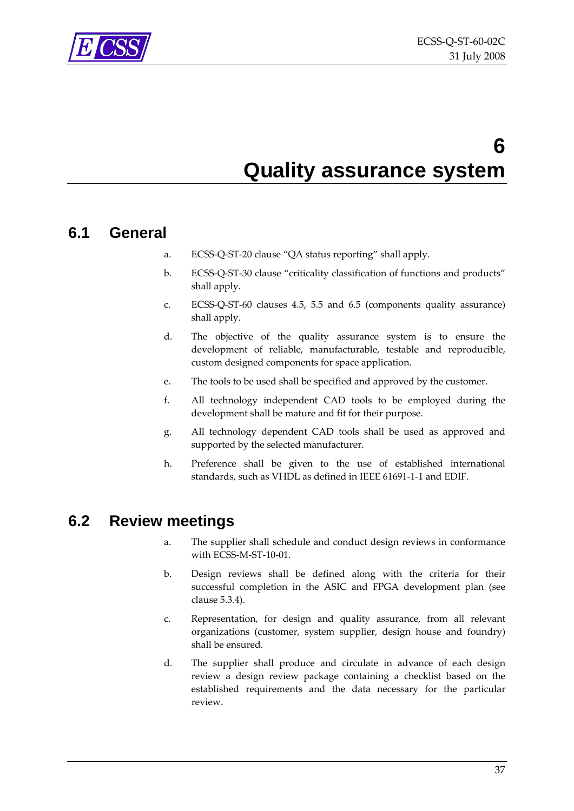<span id="page-36-0"></span>

## **6 Quality assurance system**

### <span id="page-36-2"></span>**6.1 General**

- a. ECSS‐Q‐ST‐20 clause "QA status reporting" shall apply.
- b. ECSS‐Q‐ST‐30 clause "criticality classification of functions and products" shall apply.
- c. ECSS‐Q‐ST‐60 clauses 4.5, 5.5 and 6.5 (components quality assurance) shall apply.
- d. The objective of the quality assurance system is to ensure the development of reliable, manufacturable, testable and reproducible, custom designed components for space application.
- e. The tools to be used shall be specified and approved by the customer.
- f. All technology independent CAD tools to be employed during the development shall be mature and fit for their purpose.
- g. All technology dependent CAD tools shall be used as approved and supported by the selected manufacturer.
- h. Preference shall be given to the use of established international standards, such as VHDL as defined in IEEE 61691‐1‐1 and EDIF.

### <span id="page-36-1"></span>**6.2 Review meetings**

- a. The supplier shall schedule and conduct design reviews in conformance with ECSS‐M‐ST‐10‐01.
- b. Design reviews shall be defined along with the criteria for their successful completion in the ASIC and FPGA development plan (see clause [5.3.4\)](#page-20-1).
- c. Representation, for design and quality assurance, from all relevant organizations (customer, system supplier, design house and foundry) shall be ensured.
- d. The supplier shall produce and circulate in advance of each design review a design review package containing a checklist based on the established requirements and the data necessary for the particular review.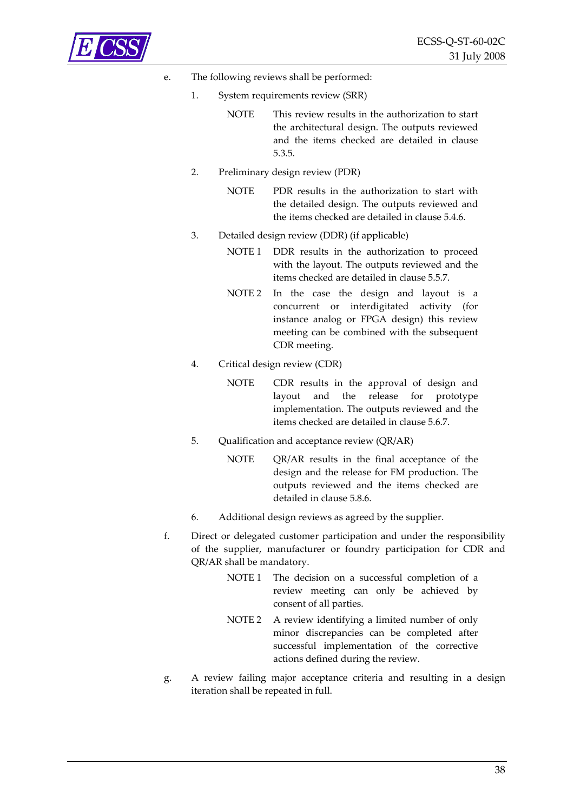

#### e. The following reviews shall be performed:

- 1. System requirements review (SRR)
	- NOTE This review results in the authorization to start the architectural design. The outputs reviewed and the items checked are detailed in clause [5.3.5.](#page-20-2)
- 2. Preliminary design review (PDR)
	- NOTE PDR results in the authorization to start with the detailed design. The outputs reviewed and the items checked are detailed in clause [5.4.6.](#page-24-1)
- 3. Detailed design review (DDR) (if applicable)
	- NOTE 1 DDR results in the authorization to proceed with the layout. The outputs reviewed and the items checked are detailed in clause [5.5.7](#page-28-1).
	- NOTE 2 In the case the design and layout is a concurrent or interdigitated activity (for instance analog or FPGA design) this review meeting can be combined with the subsequent CDR meeting.
- 4. Critical design review (CDR)
	- NOTE CDR results in the approval of design and layout and the release for prototype implementation. The outputs reviewed and the items checked are detailed in clause [5.6.7](#page-31-1).
- 5. Qualification and acceptance review (QR/AR)
	- NOTE QR/AR results in the final acceptance of the design and the release for FM production. The outputs reviewed and the items checked are detailed in clause [5.8.6](#page-35-1).
- 6. Additional design reviews as agreed by the supplier.
- f. Direct or delegated customer participation and under the responsibility of the supplier, manufacturer or foundry participation for CDR and QR/AR shall be mandatory.
	- NOTE 1 The decision on a successful completion of a review meeting can only be achieved by consent of all parties.
	- NOTE 2 A review identifying a limited number of only minor discrepancies can be completed after successful implementation of the corrective actions defined during the review.
- g. A review failing major acceptance criteria and resulting in a design iteration shall be repeated in full.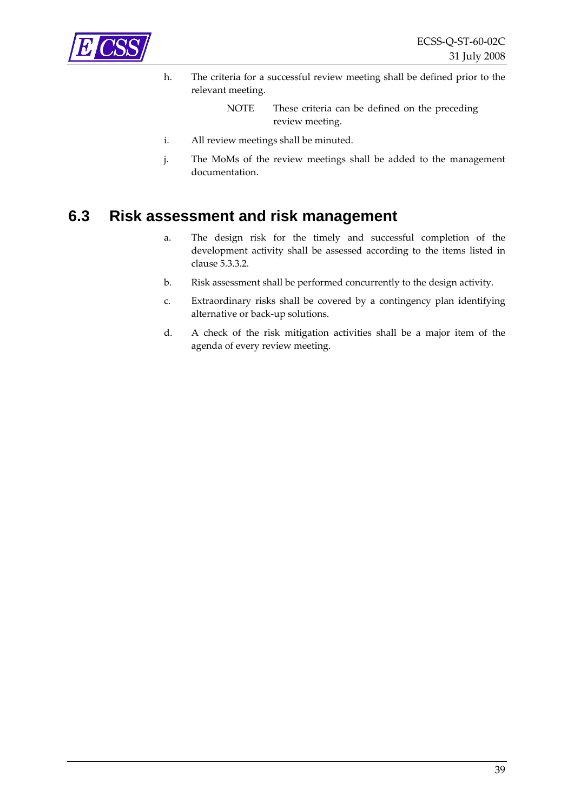<span id="page-38-0"></span>

h. The criteria for a successful review meeting shall be defined prior to the relevant meeting.

> NOTE These criteria can be defined on the preceding review meeting.

- i. All review meetings shall be minuted.
- j. The MoMs of the review meetings shall be added to the management documentation.

### <span id="page-38-1"></span>**6.3 Risk assessment and risk management**

- a. The design risk for the timely and successful completion of the development activity shall be assessed according to the items listed in clause [5.3.3.2.](#page-20-3)
- b. Risk assessment shall be performed concurrently to the design activity.
- c. Extraordinary risks shall be covered by a contingency plan identifying alternative or back‐up solutions.
- d. A check of the risk mitigation activities shall be a major item of the agenda of every review meeting.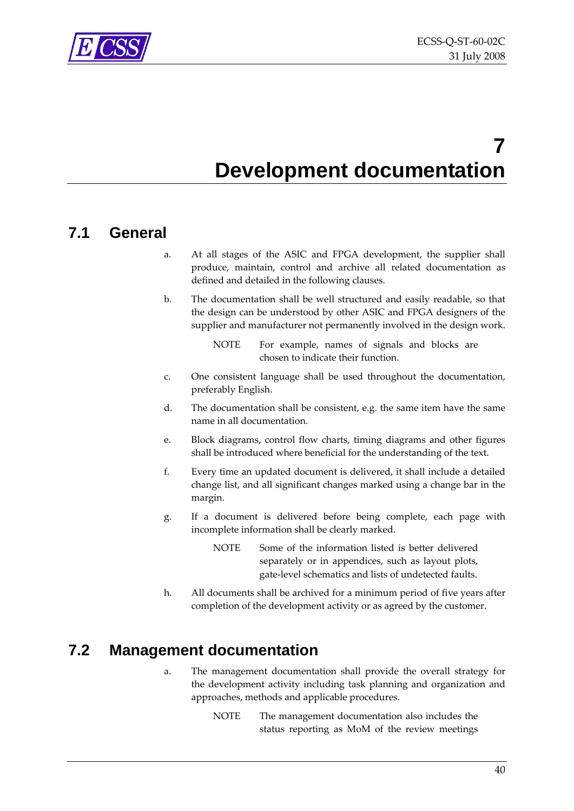<span id="page-39-0"></span>

## **7 Development documentation**

### **7.1 General**

- a. At all stages of the ASIC and FPGA development, the supplier shall produce, maintain, control and archive all related documentation as defined and detailed in the following clauses.
- b. The documentation shall be well structured and easily readable, so that the design can be understood by other ASIC and FPGA designers of the supplier and manufacturer not permanently involved in the design work.

- c. One consistent language shall be used throughout the documentation, preferably English.
- d. The documentation shall be consistent, e.g. the same item have the same name in all documentation.
- e. Block diagrams, control flow charts, timing diagrams and other figures shall be introduced where beneficial for the understanding of the text.
- f. Every time an updated document is delivered, it shall include a detailed change list, and all significant changes marked using a change bar in the margin.
- g. If a document is delivered before being complete, each page with incomplete information shall be clearly marked.
	- NOTE Some of the information listed is better delivered separately or in appendices, such as layout plots, gate‐level schematics and lists of undetected faults.
- h. All documents shall be archived for a minimum period of five years after completion of the development activity or as agreed by the customer.

### **7.2 Management documentation**

- a. The management documentation shall provide the overall strategy for the development activity including task planning and organization and approaches, methods and applicable procedures.
	- NOTE The management documentation also includes the status reporting as MoM of the review meetings

NOTE For example, names of signals and blocks are chosen to indicate their function.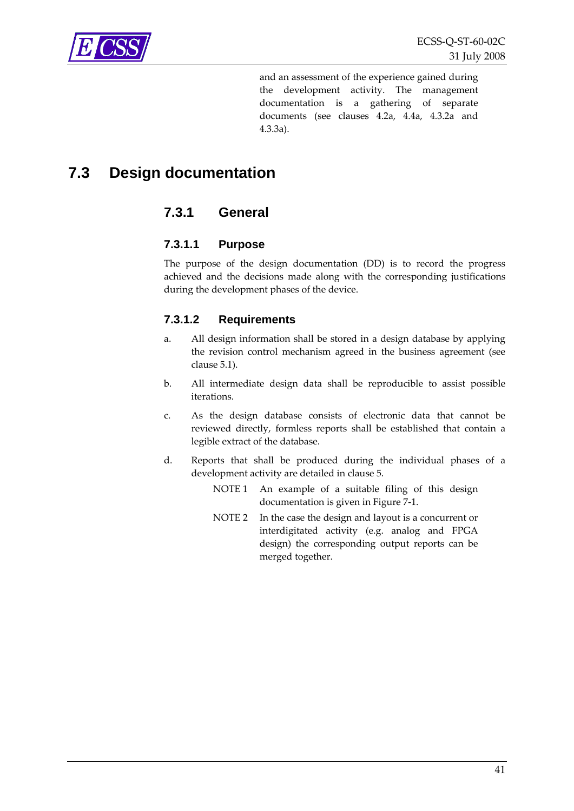<span id="page-40-0"></span>

and an assessment of the experience gained during the development activity. The management documentation is a gathering of separate documents (see clauses [4.2a](#page-14-1), [4.4a,](#page-15-2) [4.3.2a](#page-15-3) and [4.3.3a](#page-15-4)).

### **7.3 Design documentation**

### **7.3.1 General**

#### **7.3.1.1 Purpose**

The purpose of the design documentation (DD) is to record the progress achieved and the decisions made along with the corresponding justifications during the development phases of the device.

#### **7.3.1.2 Requirements**

- a. All design information shall be stored in a design database by applying the revision control mechanism agreed in the business agreement (see clause [5.1\)](#page-16-1).
- b. All intermediate design data shall be reproducible to assist possible iterations.
- c. As the design database consists of electronic data that cannot be reviewed directly, formless reports shall be established that contain a legible extract of the database.
- d. Reports that shall be produced during the individual phases of a development activity are detailed in clause [5.](#page-16-2)
	- NOTE 1 An example of a suitable filing of this design documentation is given in [Figure](#page-41-1) 7‐1.
	- NOTE 2 In the case the design and layout is a concurrent or interdigitated activity (e.g. analog and FPGA design) the corresponding output reports can be merged together.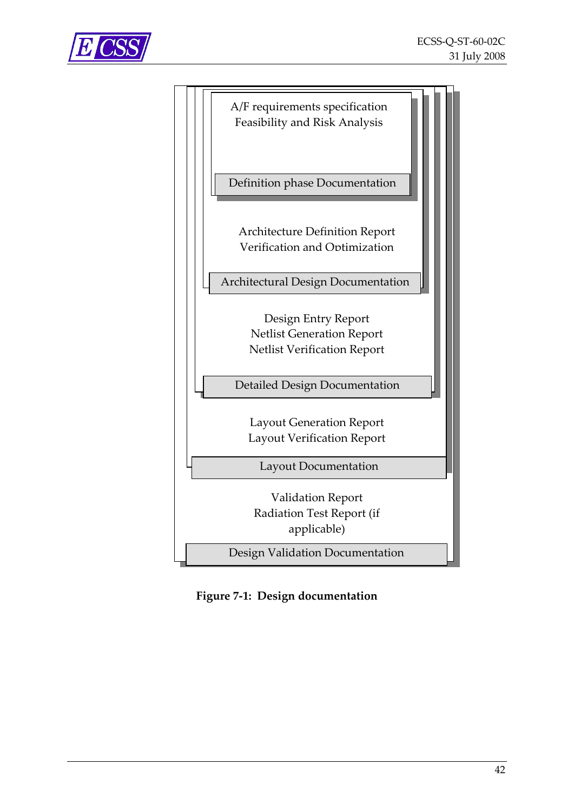<span id="page-41-0"></span>



Definition phase Documentation

Architecture Definition Report Verification and Optimization

Architectural Design Documentation

Design Entry Report Netlist Generation Report Netlist Verification Report

Detailed Design Documentation

Layout Generation Report Layout Verification Report

Layout Documentation

Validation Report Radiation Test Report (if applicable)

Design Validation Documentation

<span id="page-41-1"></span>**Figure 7‐1: Design documentation**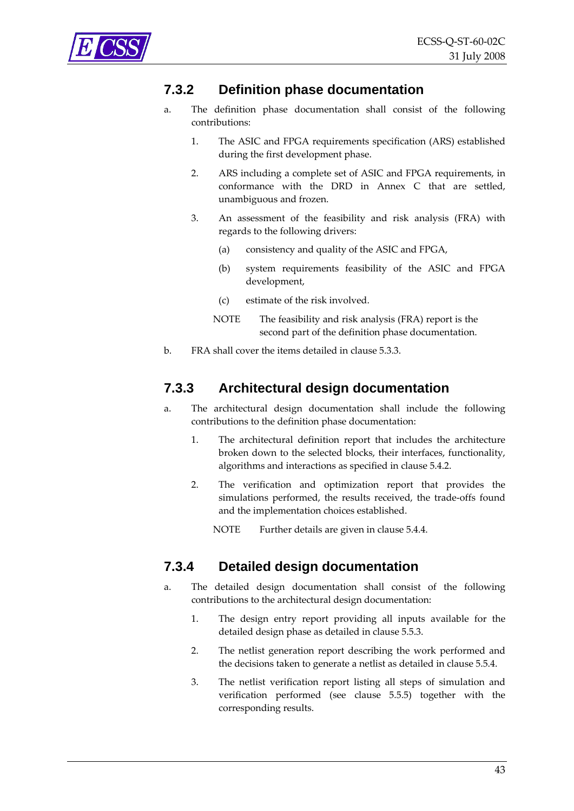<span id="page-42-2"></span><span id="page-42-0"></span>

### **7.3.2 Definition phase documentation**

- a. The definition phase documentation shall consist of the following contributions:
	- 1. The ASIC and FPGA requirements specification (ARS) established during the first development phase.
	- 2. ARS including a complete set of ASIC and FPGA requirements, in conformance with the DRD in [Annex](#page-50-1) C that are settled, unambiguous and frozen.
	- 3. An assessment of the feasibility and risk analysis (FRA) with regards to the following drivers:
		- (a) consistency and quality of the ASIC and FPGA,
		- (b) system requirements feasibility of the ASIC and FPGA development,
		- (c) estimate of the risk involved.
		- NOTE The feasibility and risk analysis (FRA) report is the second part of the definition phase documentation.
- b. FRA shall cover the items detailed in clause [5.3.3.](#page-19-1)

### **7.3.3 Architectural design documentation**

- a. The architectural design documentation shall include the following contributions to the definition phase documentation:
	- 1. The architectural definition report that includes the architecture broken down to the selected blocks, their interfaces, functionality, algorithms and interactions as specified in clause [5.4.2.](#page-22-1)
	- 2. The verification and optimization report that provides the simulations performed, the results received, the trade‐offs found and the implementation choices established.

NOTE Further details are given in clause [5.4.4.](#page-23-2)

### <span id="page-42-1"></span>**7.3.4 Detailed design documentation**

- a. The detailed design documentation shall consist of the following contributions to the architectural design documentation:
	- 1. The design entry report providing all inputs available for the detailed design phase as detailed in clause [5.5.3.](#page-25-1)
	- 2. The netlist generation report describing the work performed and the decisions taken to generate a netlist as detailed in clause [5.5.4.](#page-26-1)
	- 3. The netlist verification report listing all steps of simulation and verification performed (see clause [5.5.5\)](#page-27-1) together with the corresponding results.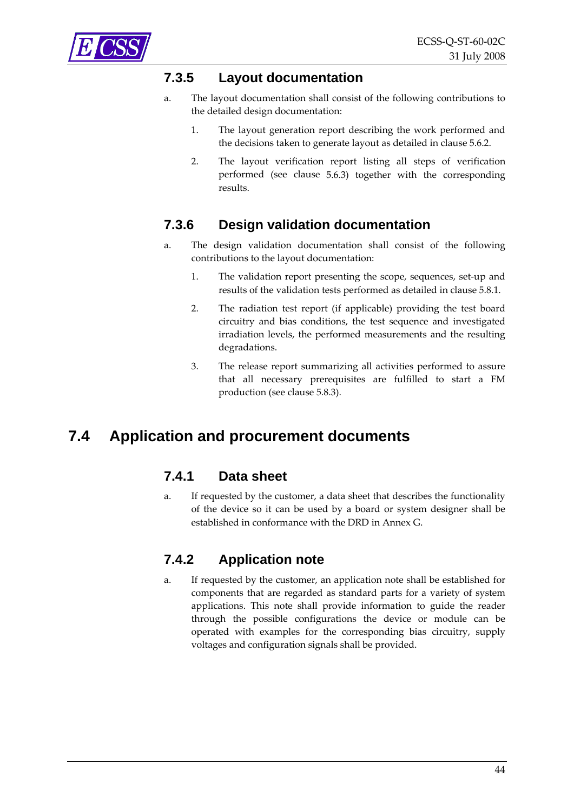<span id="page-43-1"></span><span id="page-43-0"></span>

### **7.3.5 Layout documentation**

- a. The layout documentation shall consist of the following contributions to the detailed design documentation:
	- 1. The layout generation report describing the work performed and the decisions taken to generate layout as detailed in clause [5.6.2](#page-29-2).
	- 2. The layout verification report listing all steps of verification performed (see clause [5.6.3\)](#page-30-1) together with the corresponding results.

### <span id="page-43-2"></span>**7.3.6 Design validation documentation**

- a. The design validation documentation shall consist of the following contributions to the layout documentation:
	- 1. The validation report presenting the scope, sequences, set‐up and results of the validation tests performed as detailed in clause [5.8.1](#page-33-2).
	- 2. The radiation test report (if applicable) providing the test board circuitry and bias conditions, the test sequence and investigated irradiation levels, the performed measurements and the resulting degradations.
	- 3. The release report summarizing all activities performed to assure that all necessary prerequisites are fulfilled to start a FM production (see clause [5.8.3](#page-34-3)).

### <span id="page-43-4"></span><span id="page-43-3"></span>**7.4 Application and procurement documents**

### **7.4.1 Data sheet**

a. If requested by the customer, a data sheet that describes the functionality of the device so it can be used by a board or system designer shall be established in conformance with the DRD in [Annex](#page-55-1) G.

### **7.4.2 Application note**

a. If requested by the customer, an application note shall be established for components that are regarded as standard parts for a variety of system applications. This note shall provide information to guide the reader through the possible configurations the device or module can be operated with examples for the corresponding bias circuitry, supply voltages and configuration signals shall be provided.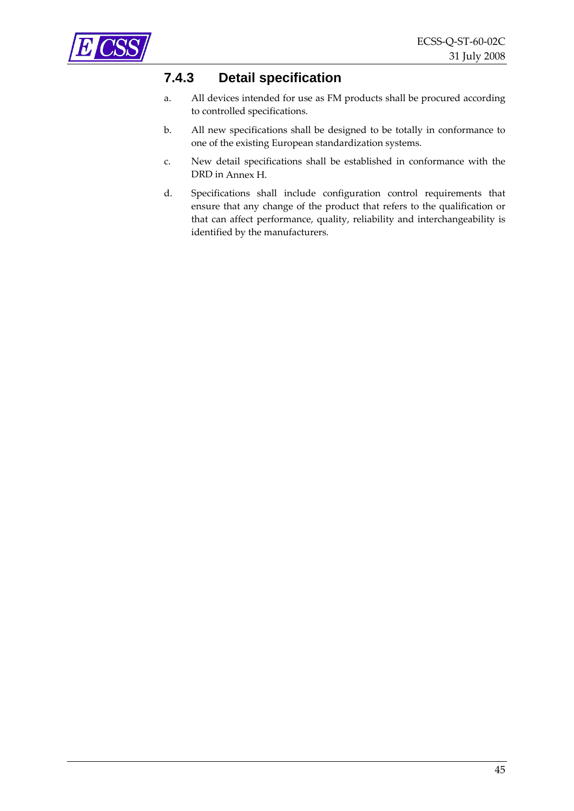<span id="page-44-2"></span><span id="page-44-1"></span><span id="page-44-0"></span>

### **7.4.3 Detail specification**

- a. All devices intended for use as FM products shall be procured according to controlled specifications.
- b. All new specifications shall be designed to be totally in conformance to one of the existing European standardization systems.
- c. New detail specifications shall be established in conformance with the DRD in [Annex](#page-57-1) H.
- d. Specifications shall include configuration control requirements that ensure that any change of the product that refers to the qualification or that can affect performance, quality, reliability and interchangeability is identified by the manufacturers.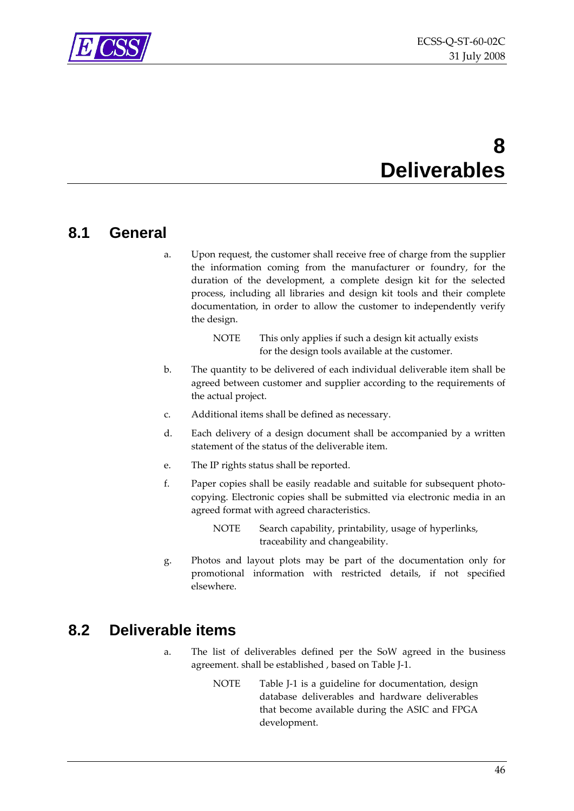<span id="page-45-0"></span>

## **8 Deliverables**

### **8.1 General**

a. Upon request, the customer shall receive free of charge from the supplier the information coming from the manufacturer or foundry, for the duration of the development, a complete design kit for the selected process, including all libraries and design kit tools and their complete documentation, in order to allow the customer to independently verify the design.

| <b>NOTE</b> | This only applies if such a design kit actually exists |
|-------------|--------------------------------------------------------|
|             | for the design tools available at the customer.        |

- b. The quantity to be delivered of each individual deliverable item shall be agreed between customer and supplier according to the requirements of the actual project.
- c. Additional items shall be defined as necessary.
- d. Each delivery of a design document shall be accompanied by a written statement of the status of the deliverable item.
- e. The IP rights status shall be reported.
- f. Paper copies shall be easily readable and suitable for subsequent photocopying. Electronic copies shall be submitted via electronic media in an agreed format with agreed characteristics.
	- NOTE Search capability, printability, usage of hyperlinks, traceability and changeability.
- g. Photos and layout plots may be part of the documentation only for promotional information with restricted details, if not specified elsewhere.

### **8.2 Deliverable items**

- a. The list of deliverables defined per the SoW agreed in the business agreement. shall be established , based on [Table](#page-60-1) J‐1.
	- NOTE [Table](#page-60-1) J-1 is a guideline for documentation, design database deliverables and hardware deliverables that become available during the ASIC and FPGA development.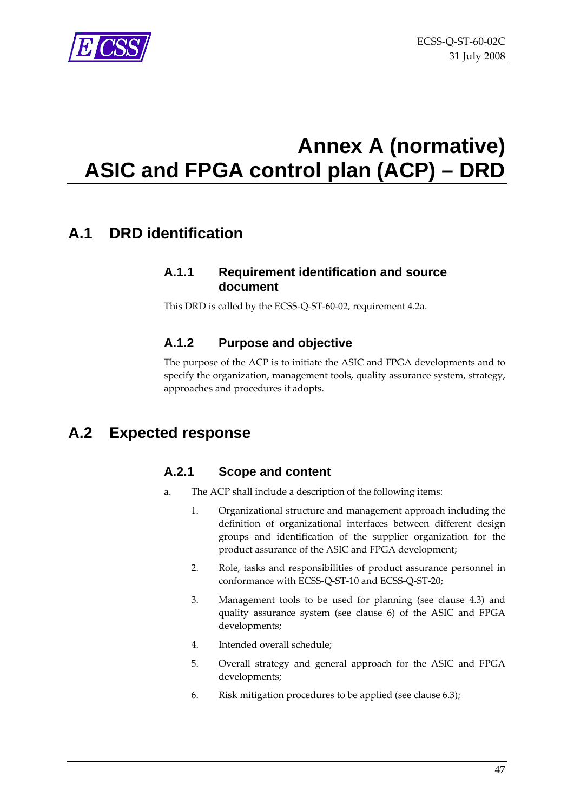<span id="page-46-0"></span>

## <span id="page-46-1"></span>**Annex A (normative) ASIC and FPGA control plan (ACP) – DRD**

### **A.1 DRD identification**

#### **A.1.1 Requirement identification and source document**

This DRD is called by the ECSS‐Q‐ST‐60‐02, requirement [4.2a.](#page-14-1)

### **A.1.2 Purpose and objective**

The purpose of the ACP is to initiate the ASIC and FPGA developments and to specify the organization, management tools, quality assurance system, strategy, approaches and procedures it adopts.

### **A.2 Expected response**

#### **A.2.1 Scope and content**

- a. The ACP shall include a description of the following items:
	- 1. Organizational structure and management approach including the definition of organizational interfaces between different design groups and identification of the supplier organization for the product assurance of the ASIC and FPGA development;
	- 2. Role, tasks and responsibilities of product assurance personnel in conformance with ECSS‐Q‐ST‐10 and ECSS‐Q‐ST‐20;
	- 3. Management tools to be used for planning (see clause [4.3](#page-15-5)) and quality assurance system (see clause [6\)](#page-36-2) of the ASIC and FPGA developments;
	- 4. Intended overall schedule;
	- 5. Overall strategy and general approach for the ASIC and FPGA developments;
	- 6. Risk mitigation procedures to be applied (see clause [6.3\)](#page-38-1);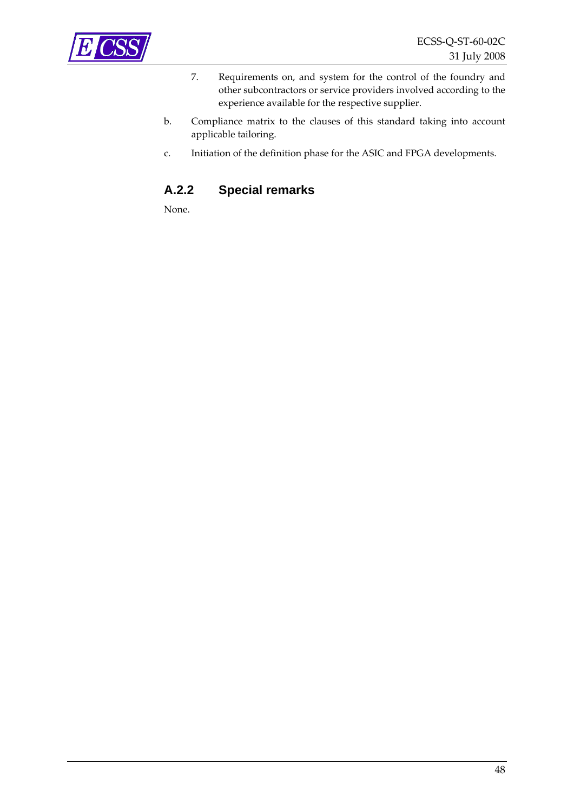

- 7. Requirements on, and system for the control of the foundry and other subcontractors or service providers involved according to the experience available for the respective supplier.
- b. Compliance matrix to the clauses of this standard taking into account applicable tailoring.
- c. Initiation of the definition phase for the ASIC and FPGA developments.

### **A.2.2 Special remarks**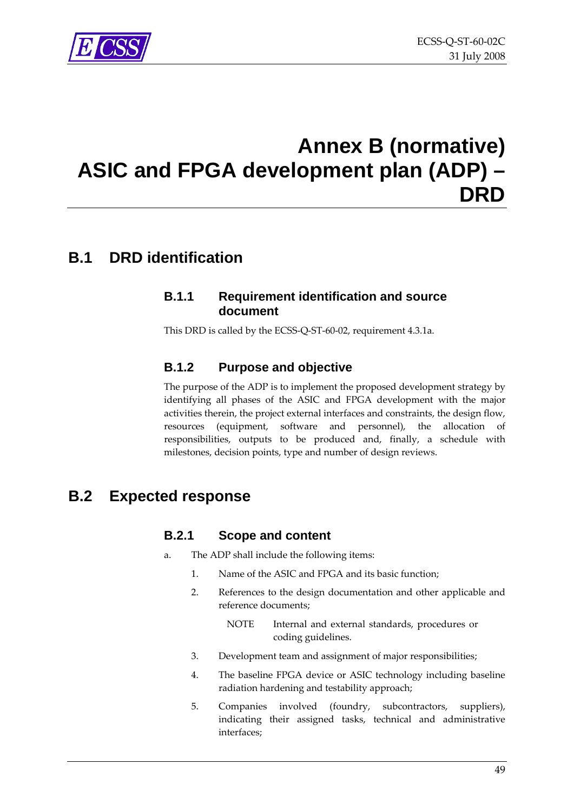<span id="page-48-0"></span>

## <span id="page-48-1"></span>**Annex B (normative) ASIC and FPGA development plan (ADP) – DRD**

### **B.1 DRD identification**

#### **B.1.1 Requirement identification and source document**

This DRD is called by the ECSS‐Q‐ST‐60‐02, requirement [4.3.1a](#page-15-6).

#### **B.1.2 Purpose and objective**

The purpose of the ADP is to implement the proposed development strategy by identifying all phases of the ASIC and FPGA development with the major activities therein, the project external interfaces and constraints, the design flow, resources (equipment, software and personnel), the allocation of responsibilities, outputs to be produced and, finally, a schedule with milestones, decision points, type and number of design reviews.

### **B.2 Expected response**

#### **B.2.1 Scope and content**

- a. The ADP shall include the following items:
	- 1. Name of the ASIC and FPGA and its basic function;
	- 2. References to the design documentation and other applicable and reference documents;
		- NOTE Internal and external standards, procedures or coding guidelines.
	- 3. Development team and assignment of major responsibilities;
	- 4. The baseline FPGA device or ASIC technology including baseline radiation hardening and testability approach;
	- 5. Companies involved (foundry, subcontractors, suppliers), indicating their assigned tasks, technical and administrative interfaces;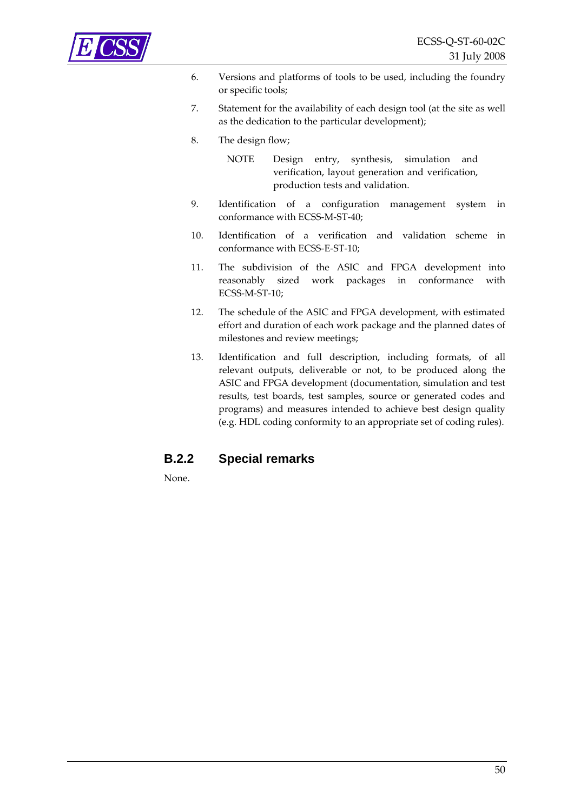

- 6. Versions and platforms of tools to be used, including the foundry or specific tools;
- 7. Statement for the availability of each design tool (at the site as well as the dedication to the particular development);
- 8. The design flow;
	- NOTE Design entry, synthesis, simulation and verification, layout generation and verification, production tests and validation.
- 9. Identification of a configuration management system in conformance with ECSS‐M‐ST‐40;
- 10. Identification of a verification and validation scheme in conformance with ECSS‐E‐ST‐10;
- 11. The subdivision of the ASIC and FPGA development into reasonably sized work packages in conformance with ECSS‐M‐ST‐10;
- 12. The schedule of the ASIC and FPGA development, with estimated effort and duration of each work package and the planned dates of milestones and review meetings;
- 13. Identification and full description, including formats, of all relevant outputs, deliverable or not, to be produced along the ASIC and FPGA development (documentation, simulation and test results, test boards, test samples, source or generated codes and programs) and measures intended to achieve best design quality (e.g. HDL coding conformity to an appropriate set of coding rules).

#### **B.2.2 Special remarks**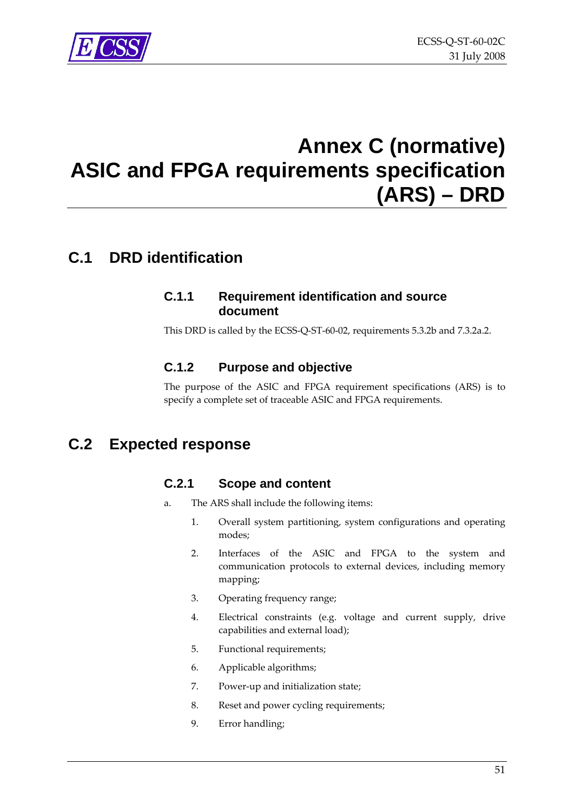## <span id="page-50-0"></span>**Annex C (normative) ASIC and FPGA requirements specification (ARS) – DRD**

### <span id="page-50-1"></span>**C.1 DRD identification**

#### **C.1.1 Requirement identification and source document**

This DRD is called by the ECSS‐Q‐ST‐60‐02, requirements [5.3.2b](#page-19-2) and [7.3.2a.2](#page-42-2).

### **C.1.2 Purpose and objective**

The purpose of the ASIC and FPGA requirement specifications (ARS) is to specify a complete set of traceable ASIC and FPGA requirements.

### **C.2 Expected response**

### **C.2.1 Scope and content**

- a. The ARS shall include the following items:
	- 1. Overall system partitioning, system configurations and operating modes;
	- 2. Interfaces of the ASIC and FPGA to the system and communication protocols to external devices, including memory mapping;
	- 3. Operating frequency range;
	- 4. Electrical constraints (e.g. voltage and current supply, drive capabilities and external load);
	- 5. Functional requirements;
	- 6. Applicable algorithms;
	- 7. Power-up and initialization state;
	- 8. Reset and power cycling requirements;
	- 9. Error handling;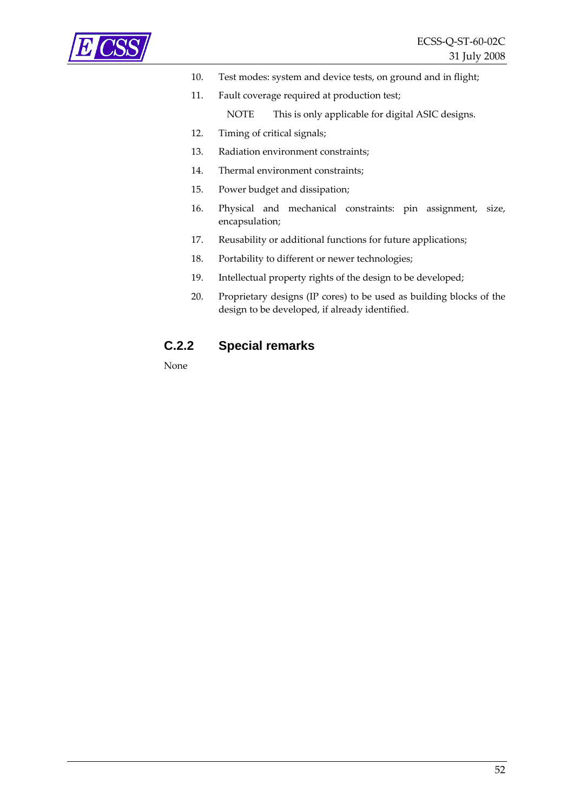

- 10. Test modes: system and device tests, on ground and in flight;
- 11. Fault coverage required at production test; NOTE This is only applicable for digital ASIC designs.
- 12. Timing of critical signals;
- 13. Radiation environment constraints;
- 14. Thermal environment constraints;
- 15. Power budget and dissipation;
- 16. Physical and mechanical constraints: pin assignment, size, encapsulation;
- 17. Reusability or additional functions for future applications;
- 18. Portability to different or newer technologies;
- 19. Intellectual property rights of the design to be developed;
- 20. Proprietary designs (IP cores) to be used as building blocks of the design to be developed, if already identified.

#### **C.2.2 Special remarks**

None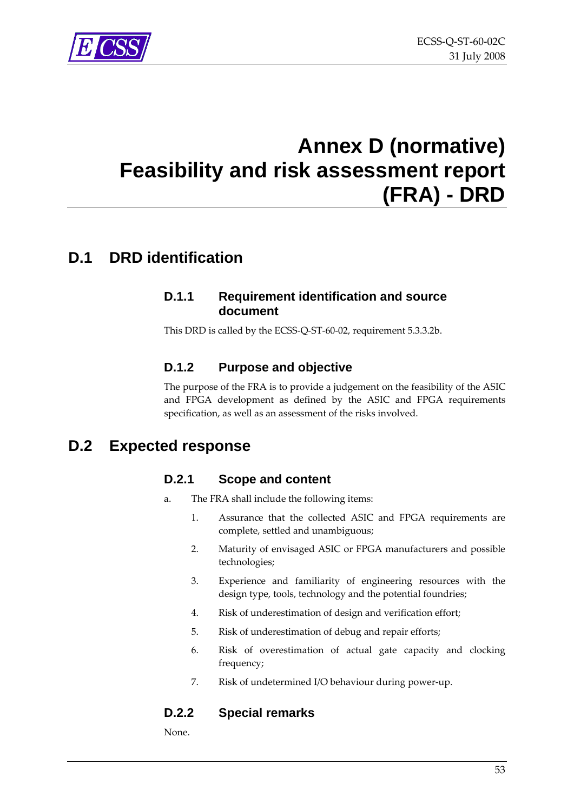<span id="page-52-0"></span>

## <span id="page-52-1"></span>**Annex D (normative) Feasibility and risk assessment report (FRA) - DRD**

### **D.1 DRD identification**

#### **D.1.1 Requirement identification and source document**

This DRD is called by the ECSS‐Q‐ST‐60‐02, requirement [5.3.3.2b](#page-20-4).

### **D.1.2 Purpose and objective**

The purpose of the FRA is to provide a judgement on the feasibility of the ASIC and FPGA development as defined by the ASIC and FPGA requirements specification, as well as an assessment of the risks involved.

### **D.2 Expected response**

### **D.2.1 Scope and content**

- a. The FRA shall include the following items:
	- 1. Assurance that the collected ASIC and FPGA requirements are complete, settled and unambiguous;
	- 2. Maturity of envisaged ASIC or FPGA manufacturers and possible technologies;
	- 3. Experience and familiarity of engineering resources with the design type, tools, technology and the potential foundries;
	- 4. Risk of underestimation of design and verification effort;
	- 5. Risk of underestimation of debug and repair efforts;
	- 6. Risk of overestimation of actual gate capacity and clocking frequency;
	- 7. Risk of undetermined I/O behaviour during power‐up.

### **D.2.2 Special remarks**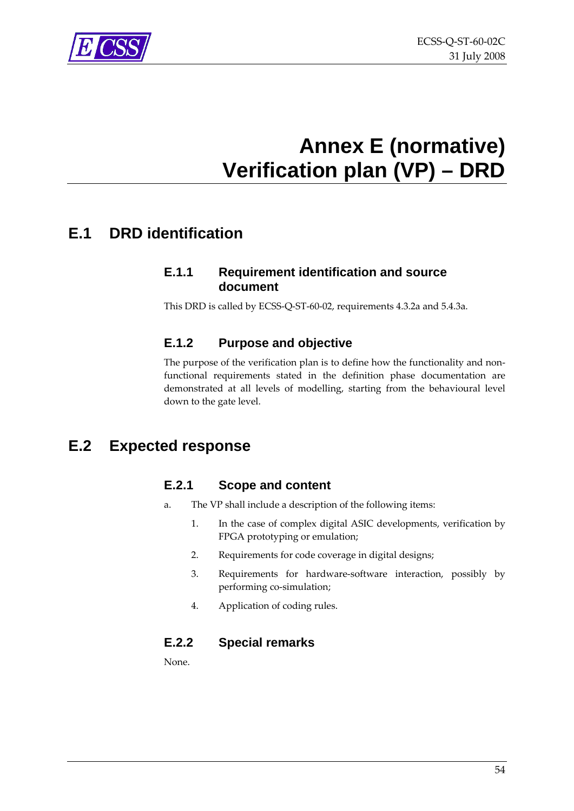<span id="page-53-0"></span>

## **Annex E (normative) Verification plan (VP) – DRD**

### <span id="page-53-1"></span>**E.1 DRD identification**

### **E.1.1 Requirement identification and source document**

This DRD is called by ECSS‐Q‐ST‐60‐02, requirements [4.3.2a](#page-15-3) and [5.4.3a](#page-23-3).

### **E.1.2 Purpose and objective**

The purpose of the verification plan is to define how the functionality and nonfunctional requirements stated in the definition phase documentation are demonstrated at all levels of modelling, starting from the behavioural level down to the gate level.

### **E.2 Expected response**

### **E.2.1 Scope and content**

- a. The VP shall include a description of the following items:
	- 1. In the case of complex digital ASIC developments, verification by FPGA prototyping or emulation;
	- 2. Requirements for code coverage in digital designs;
	- 3. Requirements for hardware‐software interaction, possibly by performing co-simulation;
	- 4. Application of coding rules.

### **E.2.2 Special remarks**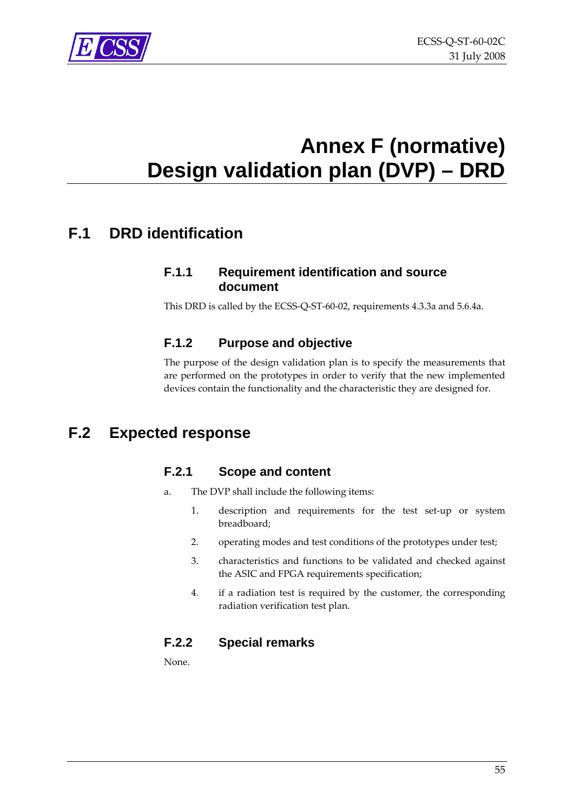<span id="page-54-0"></span>

## **Annex F (normative) Design validation plan (DVP) – DRD**

### <span id="page-54-1"></span>**F.1 DRD identification**

#### **F.1.1 Requirement identification and source document**

This DRD is called by the ECSS‐Q‐ST‐60‐02, requirements [4.3.3a](#page-15-4) and [5.6.4a](#page-31-2).

### **F.1.2 Purpose and objective**

The purpose of the design validation plan is to specify the measurements that are performed on the prototypes in order to verify that the new implemented devices contain the functionality and the characteristic they are designed for.

### **F.2 Expected response**

### **F.2.1 Scope and content**

- a. The DVP shall include the following items:
	- 1. description and requirements for the test set‐up or system breadboard;
	- 2. operating modes and test conditions of the prototypes under test;
	- 3. characteristics and functions to be validated and checked against the ASIC and FPGA requirements specification;
	- 4. if a radiation test is required by the customer, the corresponding radiation verification test plan.

### **F.2.2 Special remarks**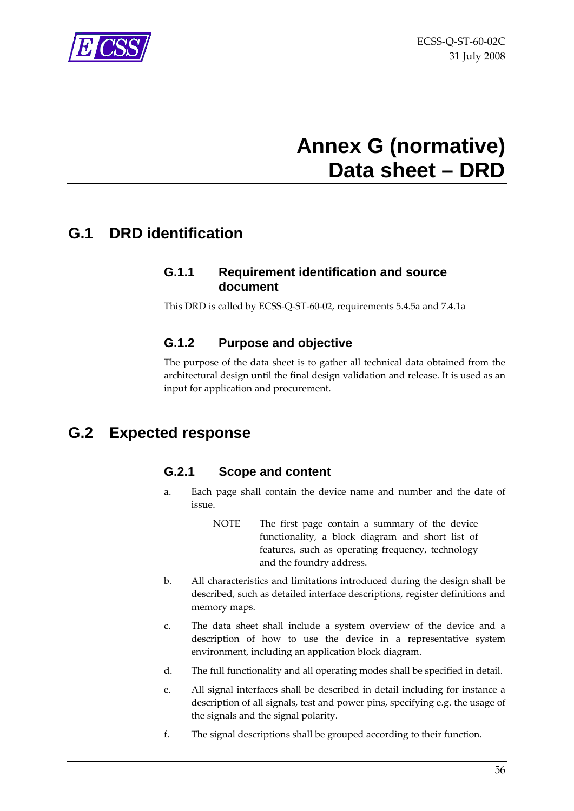<span id="page-55-0"></span>

## **Annex G (normative) Data sheet – DRD**

### <span id="page-55-1"></span>**G.1 DRD identification**

#### **G.1.1 Requirement identification and source document**

This DRD is called by ECSS‐Q‐ST‐60‐02, requirements [5.4.5a](#page-24-2) and [7.4.1a](#page-43-4)

### **G.1.2 Purpose and objective**

The purpose of the data sheet is to gather all technical data obtained from the architectural design until the final design validation and release. It is used as an input for application and procurement.

### **G.2 Expected response**

#### **G.2.1 Scope and content**

- a. Each page shall contain the device name and number and the date of issue.
	- NOTE The first page contain a summary of the device functionality, a block diagram and short list of features, such as operating frequency, technology and the foundry address.
- b. All characteristics and limitations introduced during the design shall be described, such as detailed interface descriptions, register definitions and memory maps.
- c. The data sheet shall include a system overview of the device and a description of how to use the device in a representative system environment, including an application block diagram.
- d. The full functionality and all operating modes shall be specified in detail.
- e. All signal interfaces shall be described in detail including for instance a description of all signals, test and power pins, specifying e.g. the usage of the signals and the signal polarity.
- f. The signal descriptions shall be grouped according to their function.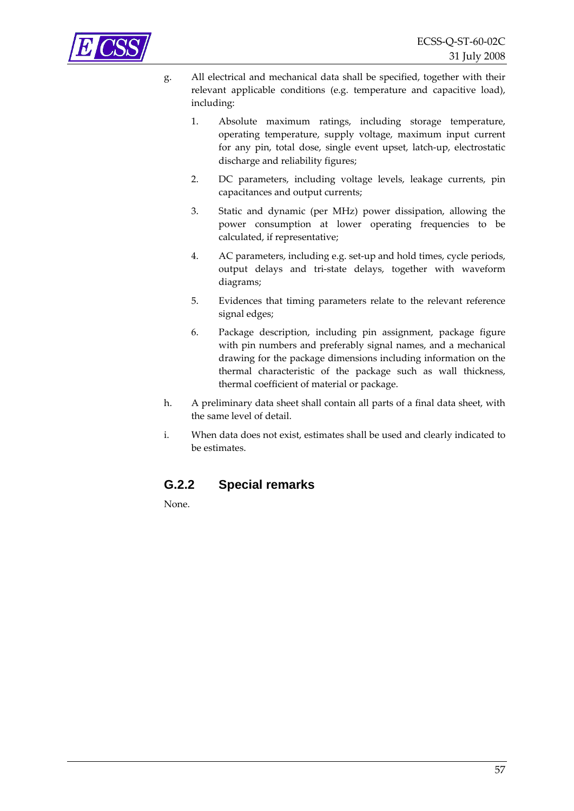

- g. All electrical and mechanical data shall be specified, together with their relevant applicable conditions (e.g. temperature and capacitive load), including:
	- 1. Absolute maximum ratings, including storage temperature, operating temperature, supply voltage, maximum input current for any pin, total dose, single event upset, latch‐up, electrostatic discharge and reliability figures;
	- 2. DC parameters, including voltage levels, leakage currents, pin capacitances and output currents;
	- 3. Static and dynamic (per MHz) power dissipation, allowing the power consumption at lower operating frequencies to be calculated, if representative;
	- 4. AC parameters, including e.g. set-up and hold times, cycle periods, output delays and tri‐state delays, together with waveform diagrams;
	- 5. Evidences that timing parameters relate to the relevant reference signal edges;
	- 6. Package description, including pin assignment, package figure with pin numbers and preferably signal names, and a mechanical drawing for the package dimensions including information on the thermal characteristic of the package such as wall thickness, thermal coefficient of material or package.
- h. A preliminary data sheet shall contain all parts of a final data sheet, with the same level of detail.
- i. When data does not exist, estimates shall be used and clearly indicated to be estimates.

#### **G.2.2 Special remarks**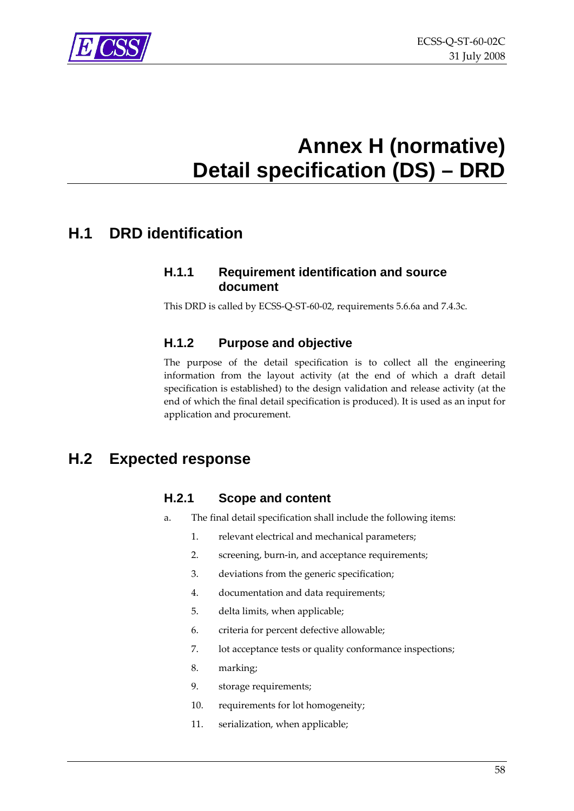## **Annex H (normative) Detail specification (DS) – DRD**

### <span id="page-57-1"></span><span id="page-57-0"></span>**H.1 DRD identification**

### **H.1.1 Requirement identification and source document**

This DRD is called by ECSS‐Q‐ST‐60‐02, requirements [5.6.6a](#page-31-3) and [7.4.3c](#page-44-2).

### **H.1.2 Purpose and objective**

The purpose of the detail specification is to collect all the engineering information from the layout activity (at the end of which a draft detail specification is established) to the design validation and release activity (at the end of which the final detail specification is produced). It is used as an input for application and procurement.

### **H.2 Expected response**

### **H.2.1 Scope and content**

- a. The final detail specification shall include the following items:
	- 1. relevant electrical and mechanical parameters;
	- 2. screening, burn-in, and acceptance requirements;
	- 3. deviations from the generic specification;
	- 4. documentation and data requirements;
	- 5. delta limits, when applicable;
	- 6. criteria for percent defective allowable;
	- 7. lot acceptance tests or quality conformance inspections;
	- 8. marking;
	- 9. storage requirements;
	- 10. requirements for lot homogeneity;
	- 11. serialization, when applicable;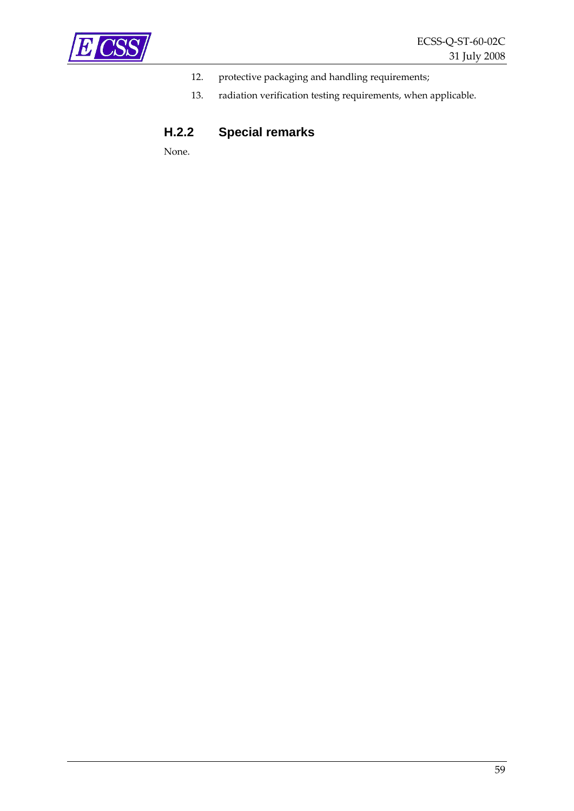

- 12. protective packaging and handling requirements;
- 13. radiation verification testing requirements, when applicable.

### **H.2.2 Special remarks**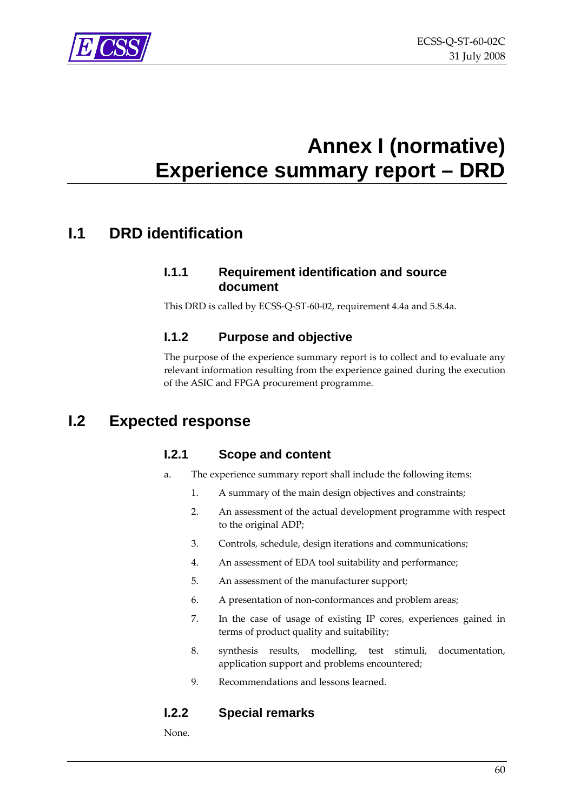<span id="page-59-0"></span>

## **Annex I (normative) Experience summary report – DRD**

### <span id="page-59-1"></span>**I.1 DRD identification**

#### **I.1.1 Requirement identification and source document**

This DRD is called by ECSS‐Q‐ST‐60‐02, requirement [4.4a](#page-15-2) and [5.8.4a](#page-34-4).

#### **I.1.2 Purpose and objective**

The purpose of the experience summary report is to collect and to evaluate any relevant information resulting from the experience gained during the execution of the ASIC and FPGA procurement programme.

### **I.2 Expected response**

### **I.2.1 Scope and content**

- a. The experience summary report shall include the following items:
	- 1. A summary of the main design objectives and constraints;
	- 2. An assessment of the actual development programme with respect to the original ADP;
	- 3. Controls, schedule, design iterations and communications;
	- 4. An assessment of EDA tool suitability and performance;
	- 5. An assessment of the manufacturer support;
	- 6. A presentation of non‐conformances and problem areas;
	- 7. In the case of usage of existing IP cores, experiences gained in terms of product quality and suitability;
	- 8. synthesis results, modelling, test stimuli, documentation, application support and problems encountered;
	- 9. Recommendations and lessons learned.

### **I.2.2 Special remarks**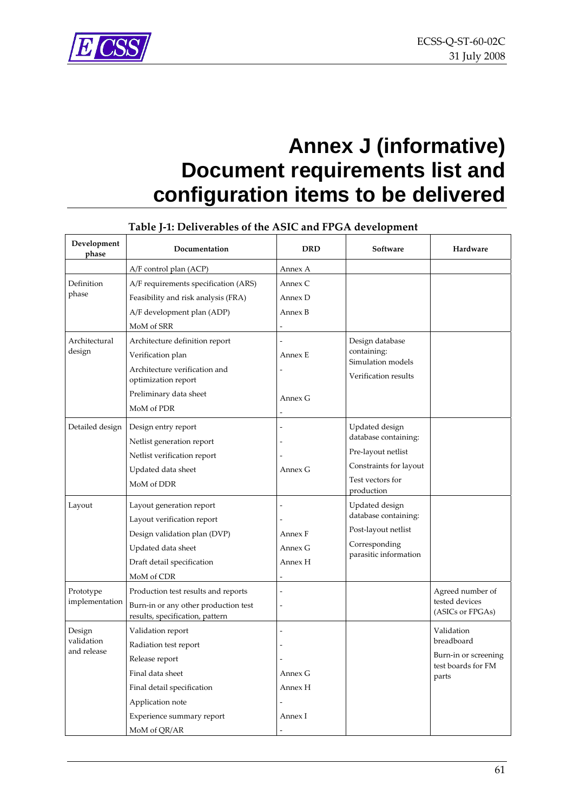## <span id="page-60-0"></span>**Annex J (informative) Document requirements list and configuration items to be delivered**

<span id="page-60-1"></span>

| Development<br>phase                | Documentation                                                                                                                                                                   | <b>DRD</b>                                      | Software                                                                                                                 | Hardware                                                                        |
|-------------------------------------|---------------------------------------------------------------------------------------------------------------------------------------------------------------------------------|-------------------------------------------------|--------------------------------------------------------------------------------------------------------------------------|---------------------------------------------------------------------------------|
|                                     | A/F control plan (ACP)                                                                                                                                                          | Annex A                                         |                                                                                                                          |                                                                                 |
| Definition<br>phase                 | A/F requirements specification (ARS)<br>Feasibility and risk analysis (FRA)<br>A/F development plan (ADP)<br>MoM of SRR                                                         | Annex C<br>Annex D<br>Annex B<br>$\overline{a}$ |                                                                                                                          |                                                                                 |
| Architectural<br>design             | Architecture definition report<br>Verification plan<br>Architecture verification and<br>optimization report<br>Preliminary data sheet<br>MoM of PDR                             | Annex E<br>Annex G                              | Design database<br>containing:<br>Simulation models<br>Verification results                                              |                                                                                 |
| Detailed design                     | Design entry report<br>Netlist generation report<br>Netlist verification report<br>Updated data sheet<br>MoM of DDR                                                             | Annex G                                         | Updated design<br>database containing:<br>Pre-layout netlist<br>Constraints for layout<br>Test vectors for<br>production |                                                                                 |
| Layout                              | Layout generation report<br>Layout verification report<br>Design validation plan (DVP)<br>Updated data sheet<br>Draft detail specification<br>MoM of CDR                        | Annex F<br>Annex G<br>Annex H                   | Updated design<br>database containing:<br>Post-layout netlist<br>Corresponding<br>parasitic information                  |                                                                                 |
| Prototype<br>implementation         | Production test results and reports<br>Burn-in or any other production test<br>results, specification, pattern                                                                  | Ĭ.<br>÷,                                        |                                                                                                                          | Agreed number of<br>tested devices<br>(ASICs or FPGAs)                          |
| Design<br>validation<br>and release | Validation report<br>Radiation test report<br>Release report<br>Final data sheet<br>Final detail specification<br>Application note<br>Experience summary report<br>MoM of QR/AR | $\overline{a}$<br>Annex G<br>Annex H<br>Annex I |                                                                                                                          | Validation<br>breadboard<br>Burn-in or screening<br>test boards for FM<br>parts |

#### **Table J‐1: Deliverables of the ASIC and FPGA development**